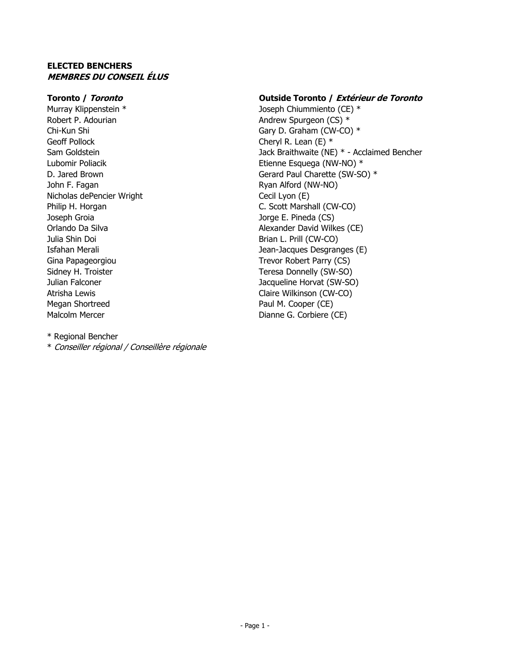#### **ELECTED BENCHERS MEMBRES DU CONSEIL ÉLUS**

Murray Klippenstein \* Joseph Chiummiento (CE) \* Robert P. Adourian Andrew Spurgeon (CS) \* Geoff Pollock Cheryl R. Lean (E)  $*$ John F. Fagan **Ryan Alford (NW-NO)** Nicholas dePencier Wright Cecil Lyon (E) Joseph Groia Jorge E. Pineda (CS) Julia Shin Doi Brian L. Prill (CW-CO) Gina Papageorgiou **Trevor Robert Parry (CS)** Atrisha Lewis **Claire Wilkinson (CW-CO)** Megan Shortreed **Paul M. Cooper (CE)** Malcolm Mercer **Dianne G. Corbiere (CE)** 

#### **Toronto / Toronto Outside Toronto / Extérieur de Toronto**

Chi-Kun Shi Gary D. Graham (CW-CO) \* Sam Goldstein **Jack Braithwaite (NE) \*** - Acclaimed Bencher Lubomir Poliacik **Etienne Esquega (NW-NO) \*** D. Jared Brown Gerard Paul Charette (SW-SO)  $*$ Philip H. Horgan C. Scott Marshall (CW-CO) Orlando Da Silva Alexander David Wilkes (CE) Isfahan Merali Jean-Jacques Desgranges (E) Sidney H. Troister Teresa Donnelly (SW-SO) Julian Falconer Jacqueline Horvat (SW-SO)

\* Regional Bencher

\* Conseiller régional / Conseillère régionale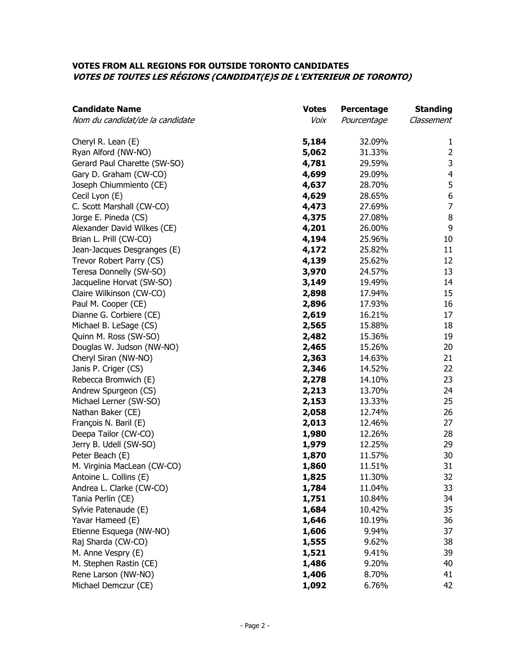#### **VOTES FROM ALL REGIONS FOR OUTSIDE TORONTO CANDIDATES VOTES DE TOUTES LES RÉGIONS (CANDIDAT(E)S DE L'EXTERIEUR DE TORONTO)**

| <b>Candidate Name</b>           | <b>Votes</b> | Percentage  | <b>Standing</b>         |
|---------------------------------|--------------|-------------|-------------------------|
| Nom du candidat/de la candidate | Voix         | Pourcentage | Classement              |
| Cheryl R. Lean (E)              | 5,184        | 32.09%      | $\mathbf{1}$            |
| Ryan Alford (NW-NO)             | 5,062        | 31.33%      | $\overline{2}$          |
| Gerard Paul Charette (SW-SO)    | 4,781        | 29.59%      | $\mathsf 3$             |
| Gary D. Graham (CW-CO)          | 4,699        | 29.09%      | $\overline{\mathbf{4}}$ |
| Joseph Chiummiento (CE)         | 4,637        | 28.70%      | 5                       |
| Cecil Lyon (E)                  | 4,629        | 28.65%      | $\boldsymbol{6}$        |
| C. Scott Marshall (CW-CO)       | 4,473        | 27.69%      | $\overline{7}$          |
| Jorge E. Pineda (CS)            | 4,375        | 27.08%      | $\, 8$                  |
| Alexander David Wilkes (CE)     | 4,201        | 26.00%      | 9                       |
| Brian L. Prill (CW-CO)          | 4,194        | 25.96%      | 10                      |
| Jean-Jacques Desgranges (E)     | 4,172        | 25.82%      | 11                      |
| Trevor Robert Parry (CS)        | 4,139        | 25.62%      | 12                      |
| Teresa Donnelly (SW-SO)         | 3,970        | 24.57%      | 13                      |
| Jacqueline Horvat (SW-SO)       | 3,149        | 19.49%      | 14                      |
| Claire Wilkinson (CW-CO)        | 2,898        | 17.94%      | 15                      |
| Paul M. Cooper (CE)             | 2,896        | 17.93%      | 16                      |
| Dianne G. Corbiere (CE)         | 2,619        | 16.21%      | 17                      |
| Michael B. LeSage (CS)          | 2,565        | 15.88%      | 18                      |
| Quinn M. Ross (SW-SO)           | 2,482        | 15.36%      | 19                      |
| Douglas W. Judson (NW-NO)       | 2,465        | 15.26%      | 20                      |
| Cheryl Siran (NW-NO)            | 2,363        | 14.63%      | 21                      |
| Janis P. Criger (CS)            | 2,346        | 14.52%      | 22                      |
| Rebecca Bromwich (E)            | 2,278        | 14.10%      | 23                      |
| Andrew Spurgeon (CS)            | 2,213        | 13.70%      | 24                      |
| Michael Lerner (SW-SO)          | 2,153        | 13.33%      | 25                      |
| Nathan Baker (CE)               | 2,058        | 12.74%      | 26                      |
| François N. Baril (E)           | 2,013        | 12.46%      | 27                      |
| Deepa Tailor (CW-CO)            | 1,980        | 12.26%      | 28                      |
| Jerry B. Udell (SW-SO)          | 1,979        | 12.25%      | 29                      |
| Peter Beach (E)                 | 1,870        | 11.57%      | 30                      |
| M. Virginia MacLean (CW-CO)     | 1,860        | 11.51%      | 31                      |
| Antoine L. Collins (E)          | 1,825        | 11.30%      | 32                      |
| Andrea L. Clarke (CW-CO)        | 1,784        | 11.04%      | 33                      |
| Tania Perlin (CE)               | 1,751        | 10.84%      | 34                      |
| Sylvie Patenaude (E)            | 1,684        | 10.42%      | 35                      |
| Yavar Hameed (E)                | 1,646        | 10.19%      | 36                      |
| Etienne Esquega (NW-NO)         | 1,606        | 9.94%       | 37                      |
| Raj Sharda (CW-CO)              | 1,555        | 9.62%       | 38                      |
| M. Anne Vespry (E)              | 1,521        | 9.41%       | 39                      |
| M. Stephen Rastin (CE)          | 1,486        | 9.20%       | 40                      |
| Rene Larson (NW-NO)             | 1,406        | 8.70%       | 41                      |
| Michael Demczur (CE)            | 1,092        | 6.76%       | 42                      |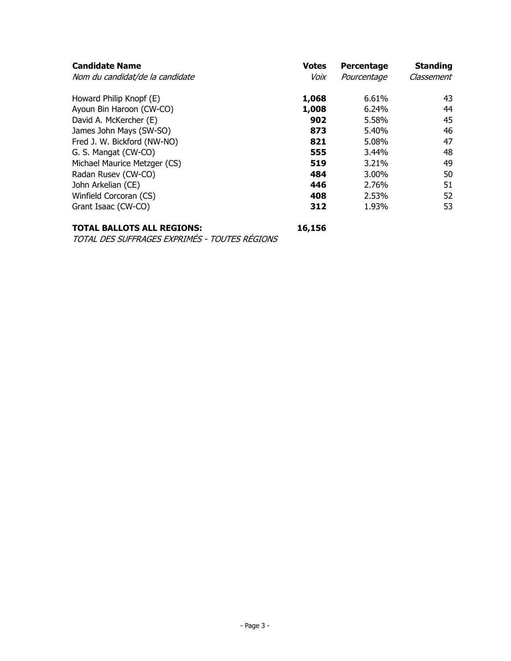| <b>Candidate Name</b>           | <b>Votes</b><br>Voix | Percentage  | <b>Standing</b><br>Classement |
|---------------------------------|----------------------|-------------|-------------------------------|
| Nom du candidat/de la candidate |                      | Pourcentage |                               |
| Howard Philip Knopf (E)         | 1,068                | 6.61%       | 43                            |
| Ayoun Bin Haroon (CW-CO)        | 1,008                | 6.24%       | 44                            |
| David A. McKercher (E)          | 902                  | 5.58%       | 45                            |
| James John Mays (SW-SO)         | 873                  | 5.40%       | 46                            |
| Fred J. W. Bickford (NW-NO)     | 821                  | 5.08%       | 47                            |
| G. S. Mangat (CW-CO)            | 555                  | 3.44%       | 48                            |
| Michael Maurice Metzger (CS)    | 519                  | 3.21%       | 49                            |
| Radan Rusev (CW-CO)             | 484                  | 3.00%       | 50                            |
| John Arkelian (CE)              | 446                  | 2.76%       | 51                            |
| Winfield Corcoran (CS)          | 408                  | 2.53%       | 52                            |
| Grant Isaac (CW-CO)             | 312                  | 1.93%       | 53                            |
|                                 |                      |             |                               |

# **TOTAL BALLOTS ALL REGIONS: 16,156**

TOTAL DES SUFFRAGES EXPRIMÉS - TOUTES RÉGIONS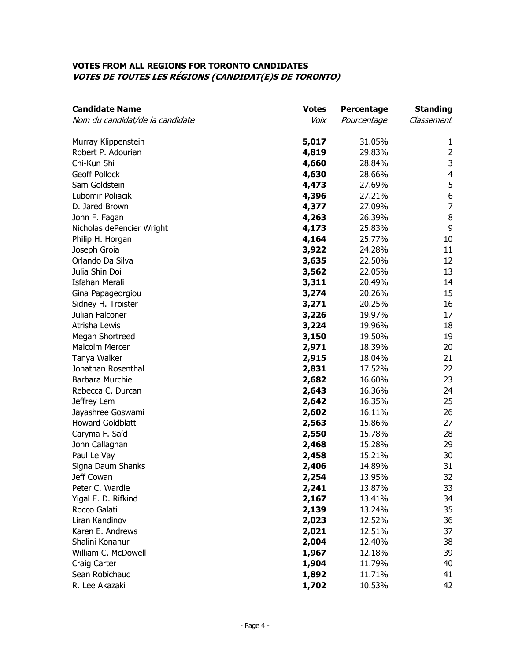#### **VOTES FROM ALL REGIONS FOR TORONTO CANDIDATES VOTES DE TOUTES LES RÉGIONS (CANDIDAT(E)S DE TORONTO)**

| <b>Candidate Name</b>           | <b>Votes</b> | Percentage  | <b>Standing</b> |
|---------------------------------|--------------|-------------|-----------------|
| Nom du candidat/de la candidate | Voix         | Pourcentage | Classement      |
| Murray Klippenstein             | 5,017        | 31.05%      | 1               |
| Robert P. Adourian              | 4,819        | 29.83%      | $\overline{2}$  |
| Chi-Kun Shi                     | 4,660        | 28.84%      | 3               |
| <b>Geoff Pollock</b>            | 4,630        | 28.66%      | $\overline{4}$  |
| Sam Goldstein                   | 4,473        | 27.69%      | 5               |
| Lubomir Poliacik                | 4,396        | 27.21%      | 6               |
| D. Jared Brown                  | 4,377        | 27.09%      | $\overline{7}$  |
| John F. Fagan                   | 4,263        | 26.39%      | $\, 8$          |
| Nicholas dePencier Wright       | 4,173        | 25.83%      | 9               |
| Philip H. Horgan                | 4,164        | 25.77%      | 10              |
| Joseph Groia                    | 3,922        | 24.28%      | 11              |
| Orlando Da Silva                | 3,635        | 22.50%      | 12              |
| Julia Shin Doi                  | 3,562        | 22.05%      | 13              |
| <b>Isfahan Merali</b>           | 3,311        | 20.49%      | 14              |
| Gina Papageorgiou               | 3,274        | 20.26%      | 15              |
| Sidney H. Troister              | 3,271        | 20.25%      | 16              |
| Julian Falconer                 | 3,226        | 19.97%      | 17              |
| Atrisha Lewis                   | 3,224        | 19.96%      | 18              |
| Megan Shortreed                 | 3,150        | 19.50%      | 19              |
| <b>Malcolm Mercer</b>           | 2,971        | 18.39%      | 20              |
| Tanya Walker                    | 2,915        | 18.04%      | 21              |
| Jonathan Rosenthal              | 2,831        | 17.52%      | 22              |
| Barbara Murchie                 | 2,682        | 16.60%      | 23              |
| Rebecca C. Durcan               | 2,643        | 16.36%      | 24              |
| Jeffrey Lem                     | 2,642        | 16.35%      | 25              |
| Jayashree Goswami               | 2,602        | 16.11%      | 26              |
| <b>Howard Goldblatt</b>         | 2,563        | 15.86%      | 27              |
| Caryma F. Sa'd                  | 2,550        | 15.78%      | 28              |
| John Callaghan                  | 2,468        | 15.28%      | 29              |
| Paul Le Vay                     | 2,458        | 15.21%      | 30              |
| Signa Daum Shanks               | 2,406        | 14.89%      | 31              |
| Jeff Cowan                      | 2,254        | 13.95%      | 32              |
| Peter C. Wardle                 | 2,241        | 13.87%      | 33              |
| Yigal E. D. Rifkind             | 2,167        | 13.41%      | 34              |
| Rocco Galati                    | 2,139        | 13.24%      | 35              |
| Liran Kandinov                  | 2,023        | 12.52%      | 36              |
| Karen E. Andrews                | 2,021        | 12.51%      | 37              |
| Shalini Konanur                 | 2,004        | 12.40%      | 38              |
| William C. McDowell             | 1,967        | 12.18%      | 39              |
| Craig Carter                    | 1,904        | 11.79%      | 40              |
| Sean Robichaud                  | 1,892        | 11.71%      | 41              |
| R. Lee Akazaki                  | 1,702        | 10.53%      | 42              |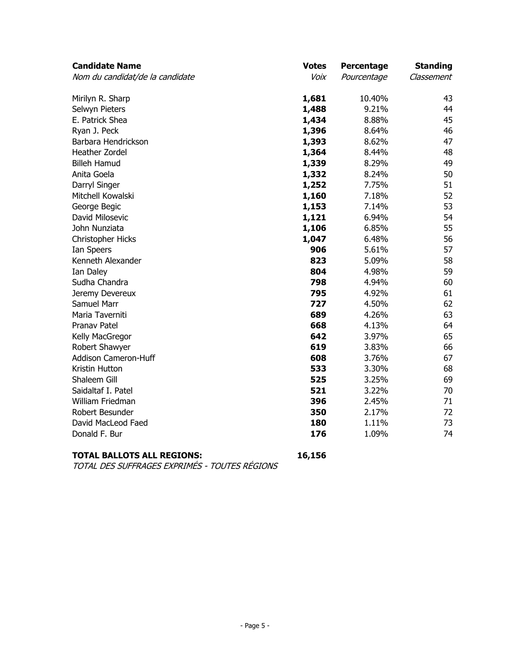| <b>Candidate Name</b>           | <b>Votes</b> | Percentage  | <b>Standing</b> |
|---------------------------------|--------------|-------------|-----------------|
| Nom du candidat/de la candidate | Voix         | Pourcentage | Classement      |
| Mirilyn R. Sharp                | 1,681        | 10.40%      | 43              |
| Selwyn Pieters                  | 1,488        | 9.21%       | 44              |
| E. Patrick Shea                 | 1,434        | 8.88%       | 45              |
| Ryan J. Peck                    | 1,396        | 8.64%       | 46              |
| Barbara Hendrickson             | 1,393        | 8.62%       | 47              |
| Heather Zordel                  | 1,364        | 8.44%       | 48              |
| <b>Billeh Hamud</b>             | 1,339        | 8.29%       | 49              |
| Anita Goela                     | 1,332        | 8.24%       | 50              |
| Darryl Singer                   | 1,252        | 7.75%       | 51              |
| Mitchell Kowalski               | 1,160        | 7.18%       | 52              |
| George Begic                    | 1,153        | 7.14%       | 53              |
| David Milosevic                 | 1,121        | 6.94%       | 54              |
| John Nunziata                   | 1,106        | 6.85%       | 55              |
| Christopher Hicks               | 1,047        | 6.48%       | 56              |
| Ian Speers                      | 906          | 5.61%       | 57              |
| Kenneth Alexander               | 823          | 5.09%       | 58              |
| Ian Daley                       | 804          | 4.98%       | 59              |
| Sudha Chandra                   | 798          | 4.94%       | 60              |
| Jeremy Devereux                 | 795          | 4.92%       | 61              |
| <b>Samuel Marr</b>              | 727          | 4.50%       | 62              |
| Maria Taverniti                 | 689          | 4.26%       | 63              |
| <b>Pranav Patel</b>             | 668          | 4.13%       | 64              |
| Kelly MacGregor                 | 642          | 3.97%       | 65              |
| Robert Shawyer                  | 619          | 3.83%       | 66              |
| Addison Cameron-Huff            | 608          | 3.76%       | 67              |
| Kristin Hutton                  | 533          | 3.30%       | 68              |
| Shaleem Gill                    | 525          | 3.25%       | 69              |
| Saidaltaf I. Patel              | 521          | 3.22%       | 70              |
| William Friedman                | 396          | 2.45%       | 71              |
| Robert Besunder                 | 350          | 2.17%       | 72              |
| David MacLeod Faed              | 180          | 1.11%       | 73              |
| Donald F. Bur                   | 176          | 1.09%       | 74              |
|                                 |              |             |                 |

# **TOTAL BALLOTS ALL REGIONS: 16,156**

TOTAL DES SUFFRAGES EXPRIMÉS - TOUTES RÉGIONS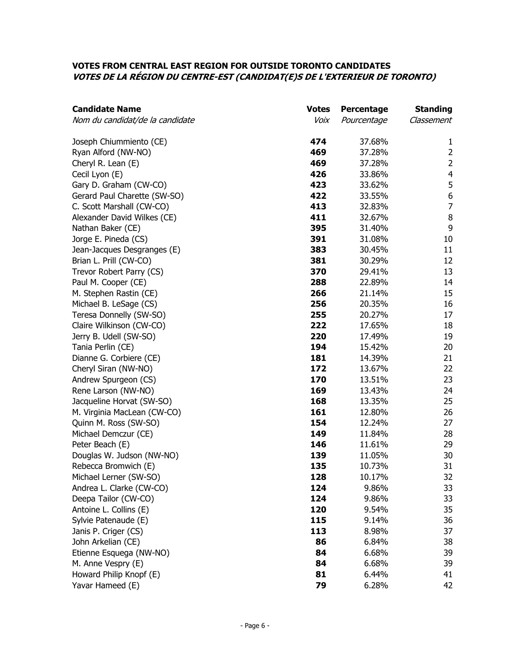#### **VOTES FROM CENTRAL EAST REGION FOR OUTSIDE TORONTO CANDIDATES VOTES DE LA RÉGION DU CENTRE-EST (CANDIDAT(E)S DE L'EXTERIEUR DE TORONTO)**

| <b>Candidate Name</b>           | <b>Votes</b> | Percentage  | <b>Standing</b>  |
|---------------------------------|--------------|-------------|------------------|
| Nom du candidat/de la candidate | Voix         | Pourcentage | Classement       |
| Joseph Chiummiento (CE)         | 474          | 37.68%      | 1                |
| Ryan Alford (NW-NO)             | 469          | 37.28%      | $\overline{2}$   |
| Cheryl R. Lean (E)              | 469          | 37.28%      | $\overline{2}$   |
| Cecil Lyon (E)                  | 426          | 33.86%      | $\overline{4}$   |
| Gary D. Graham (CW-CO)          | 423          | 33.62%      | 5                |
| Gerard Paul Charette (SW-SO)    | 422          | 33.55%      | $\boldsymbol{6}$ |
| C. Scott Marshall (CW-CO)       | 413          | 32.83%      | $\overline{7}$   |
| Alexander David Wilkes (CE)     | 411          | 32.67%      | $\, 8$           |
| Nathan Baker (CE)               | 395          | 31.40%      | 9                |
| Jorge E. Pineda (CS)            | 391          | 31.08%      | 10               |
| Jean-Jacques Desgranges (E)     | 383          | 30.45%      | 11               |
| Brian L. Prill (CW-CO)          | 381          | 30.29%      | 12               |
| Trevor Robert Parry (CS)        | 370          | 29.41%      | 13               |
| Paul M. Cooper (CE)             | 288          | 22.89%      | 14               |
| M. Stephen Rastin (CE)          | 266          | 21.14%      | 15               |
| Michael B. LeSage (CS)          | 256          | 20.35%      | 16               |
| Teresa Donnelly (SW-SO)         | 255          | 20.27%      | 17               |
| Claire Wilkinson (CW-CO)        | 222          | 17.65%      | 18               |
| Jerry B. Udell (SW-SO)          | 220          | 17.49%      | 19               |
| Tania Perlin (CE)               | 194          | 15.42%      | 20               |
| Dianne G. Corbiere (CE)         | 181          | 14.39%      | 21               |
| Cheryl Siran (NW-NO)            | 172          | 13.67%      | 22               |
| Andrew Spurgeon (CS)            | 170          | 13.51%      | 23               |
| Rene Larson (NW-NO)             | 169          | 13.43%      | 24               |
| Jacqueline Horvat (SW-SO)       | 168          | 13.35%      | 25               |
| M. Virginia MacLean (CW-CO)     | 161          | 12.80%      | 26               |
| Quinn M. Ross (SW-SO)           | 154          | 12.24%      | 27               |
| Michael Demczur (CE)            | 149          | 11.84%      | 28               |
| Peter Beach (E)                 | 146          | 11.61%      | 29               |
| Douglas W. Judson (NW-NO)       | 139          | 11.05%      | 30               |
| Rebecca Bromwich (E)            | 135          | 10.73%      | 31               |
| Michael Lerner (SW-SO)          | 128          | 10.17%      | 32               |
| Andrea L. Clarke (CW-CO)        | 124          | 9.86%       | 33               |
| Deepa Tailor (CW-CO)            | 124          | 9.86%       | 33               |
| Antoine L. Collins (E)          | 120          | 9.54%       | 35               |
| Sylvie Patenaude (E)            | 115          | 9.14%       | 36               |
| Janis P. Criger (CS)            | 113          | 8.98%       | 37               |
| John Arkelian (CE)              | 86           | 6.84%       | 38               |
| Etienne Esquega (NW-NO)         | 84           | 6.68%       | 39               |
| M. Anne Vespry (E)              | 84           | 6.68%       | 39               |
| Howard Philip Knopf (E)         | 81           | 6.44%       | 41               |
| Yavar Hameed (E)                | 79           | 6.28%       | 42               |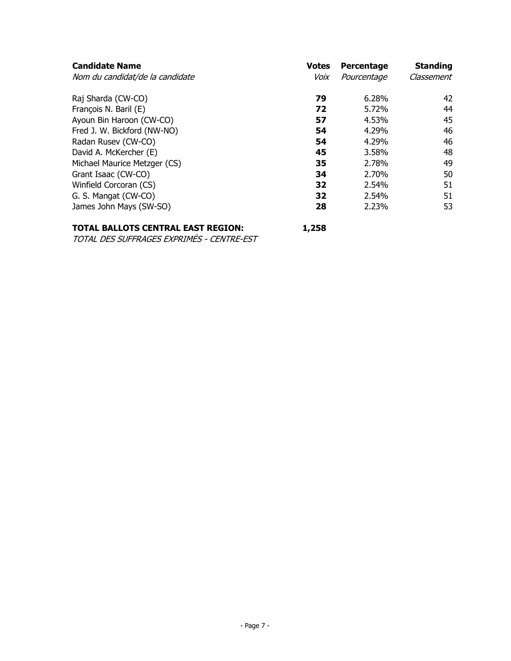| <b>Votes</b> | Percentage | <b>Standing</b> |
|--------------|------------|-----------------|
|              |            | Classement      |
| 79           | 6.28%      | 42              |
| 72           | 5.72%      | 44              |
| 57           | 4.53%      | 45              |
| 54           | 4.29%      | 46              |
| 54           | 4.29%      | 46              |
| 45           | 3.58%      | 48              |
| 35           | 2.78%      | 49              |
| 34           | 2.70%      | 50              |
| 32           | 2.54%      | 51              |
| 32           | 2.54%      | 51              |
| 28           | 2.23%      | 53              |
|              | Voix       | Pourcentage     |

# **TOTAL BALLOTS CENTRAL EAST REGION: 1,258**

TOTAL DES SUFFRAGES EXPRIMÉS - CENTRE-EST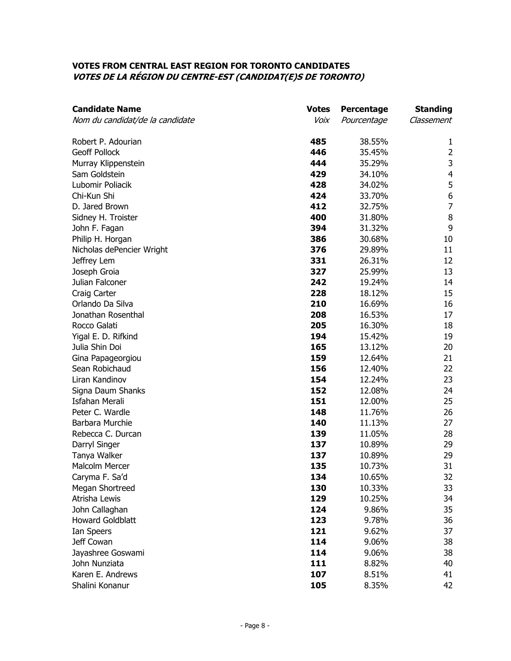#### **VOTES FROM CENTRAL EAST REGION FOR TORONTO CANDIDATES VOTES DE LA RÉGION DU CENTRE-EST (CANDIDAT(E)S DE TORONTO)**

| <b>Candidate Name</b>           | <b>Votes</b> | Percentage  | <b>Standing</b>         |
|---------------------------------|--------------|-------------|-------------------------|
| Nom du candidat/de la candidate | Voix         | Pourcentage | Classement              |
| Robert P. Adourian              | 485          | 38.55%      | 1                       |
| <b>Geoff Pollock</b>            | 446          | 35.45%      | $\overline{2}$          |
| Murray Klippenstein             | 444          | 35.29%      | $\mathsf 3$             |
| Sam Goldstein                   | 429          | 34.10%      | $\overline{\mathbf{4}}$ |
| Lubomir Poliacik                | 428          | 34.02%      | 5                       |
| Chi-Kun Shi                     | 424          | 33.70%      | $\boldsymbol{6}$        |
| D. Jared Brown                  | 412          | 32.75%      | $\overline{7}$          |
| Sidney H. Troister              | 400          | 31.80%      | $\, 8$                  |
| John F. Fagan                   | 394          | 31.32%      | 9                       |
| Philip H. Horgan                | 386          | 30.68%      | 10                      |
| Nicholas dePencier Wright       | 376          | 29.89%      | 11                      |
| Jeffrey Lem                     | 331          | 26.31%      | 12                      |
| Joseph Groia                    | 327          | 25.99%      | 13                      |
| Julian Falconer                 | 242          | 19.24%      | 14                      |
| Craig Carter                    | 228          | 18.12%      | 15                      |
| Orlando Da Silva                | 210          | 16.69%      | 16                      |
| Jonathan Rosenthal              | 208          | 16.53%      | 17                      |
| Rocco Galati                    | 205          | 16.30%      | 18                      |
| Yigal E. D. Rifkind             | 194          | 15.42%      | 19                      |
| Julia Shin Doi                  | 165          | 13.12%      | 20                      |
| Gina Papageorgiou               | 159          | 12.64%      | 21                      |
| Sean Robichaud                  | 156          | 12.40%      | 22                      |
| Liran Kandinov                  | 154          | 12.24%      | 23                      |
| Signa Daum Shanks               | 152          | 12.08%      | 24                      |
| <b>Isfahan Merali</b>           | 151          | 12.00%      | 25                      |
| Peter C. Wardle                 | 148          | 11.76%      | 26                      |
| Barbara Murchie                 | 140          | 11.13%      | 27                      |
| Rebecca C. Durcan               | 139          | 11.05%      | 28                      |
| Darryl Singer                   | 137          | 10.89%      | 29                      |
| Tanya Walker                    | 137          | 10.89%      | 29                      |
| Malcolm Mercer                  | 135          | 10.73%      | 31                      |
| Caryma F. Sa'd                  | 134          | 10.65%      | 32                      |
| Megan Shortreed                 | 130          | 10.33%      | 33                      |
| Atrisha Lewis                   | 129          | 10.25%      | 34                      |
| John Callaghan                  | 124          | 9.86%       | 35                      |
| <b>Howard Goldblatt</b>         | 123          | 9.78%       | 36                      |
| Ian Speers                      | 121          | 9.62%       | 37                      |
| Jeff Cowan                      | 114          | 9.06%       | 38                      |
| Jayashree Goswami               | 114          | 9.06%       | 38                      |
| John Nunziata                   | 111          | 8.82%       | 40                      |
| Karen E. Andrews                | 107          | 8.51%       | 41                      |
| Shalini Konanur                 | 105          | 8.35%       | 42                      |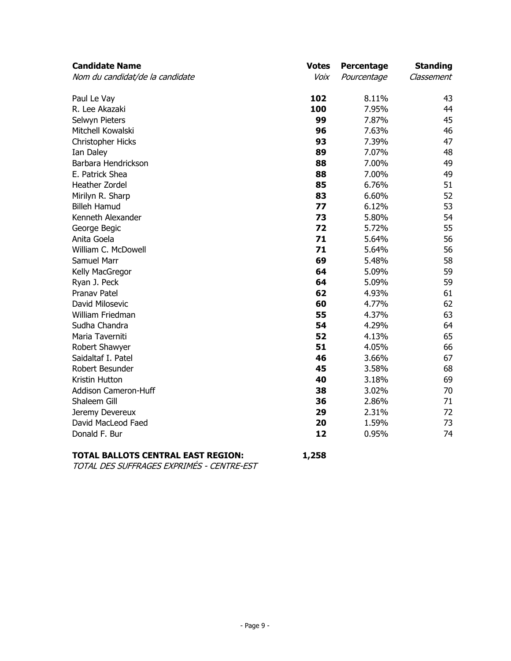| <b>Votes</b> | Percentage                                               | <b>Standing</b>                                                                                                                     |
|--------------|----------------------------------------------------------|-------------------------------------------------------------------------------------------------------------------------------------|
| Voix         | Pourcentage                                              | Classement                                                                                                                          |
| 102          | 8.11%                                                    | 43                                                                                                                                  |
| 100          | 7.95%                                                    | 44                                                                                                                                  |
| 99           | 7.87%                                                    | 45                                                                                                                                  |
| 96           | 7.63%                                                    | 46                                                                                                                                  |
| 93           | 7.39%                                                    | 47                                                                                                                                  |
| 89           | 7.07%                                                    | 48                                                                                                                                  |
| 88           | 7.00%                                                    | 49                                                                                                                                  |
| 88           | 7.00%                                                    | 49                                                                                                                                  |
| 85           | 6.76%                                                    | 51                                                                                                                                  |
| 83           | 6.60%                                                    | 52                                                                                                                                  |
| 77           | 6.12%                                                    | 53                                                                                                                                  |
| 73           | 5.80%                                                    | 54                                                                                                                                  |
| 72           | 5.72%                                                    | 55                                                                                                                                  |
| 71           | 5.64%                                                    | 56                                                                                                                                  |
| 71           | 5.64%                                                    | 56                                                                                                                                  |
| 69           | 5.48%                                                    | 58                                                                                                                                  |
| 64           | 5.09%                                                    | 59                                                                                                                                  |
| 64           |                                                          | 59                                                                                                                                  |
| 62           |                                                          | 61                                                                                                                                  |
| 60           |                                                          | 62                                                                                                                                  |
| 55           |                                                          | 63                                                                                                                                  |
| 54           |                                                          | 64                                                                                                                                  |
|              |                                                          | 65                                                                                                                                  |
|              |                                                          | 66                                                                                                                                  |
|              |                                                          | 67                                                                                                                                  |
|              |                                                          | 68                                                                                                                                  |
|              |                                                          | 69                                                                                                                                  |
|              |                                                          | 70                                                                                                                                  |
|              |                                                          | 71                                                                                                                                  |
|              |                                                          | 72                                                                                                                                  |
|              |                                                          | 73                                                                                                                                  |
|              |                                                          | 74                                                                                                                                  |
|              | 52<br>51<br>46<br>45<br>40<br>38<br>36<br>29<br>20<br>12 | 5.09%<br>4.93%<br>4.77%<br>4.37%<br>4.29%<br>4.13%<br>4.05%<br>3.66%<br>3.58%<br>3.18%<br>3.02%<br>2.86%<br>2.31%<br>1.59%<br>0.95% |

# **TOTAL BALLOTS CENTRAL EAST REGION: 1,258**

TOTAL DES SUFFRAGES EXPRIMÉS - CENTRE-EST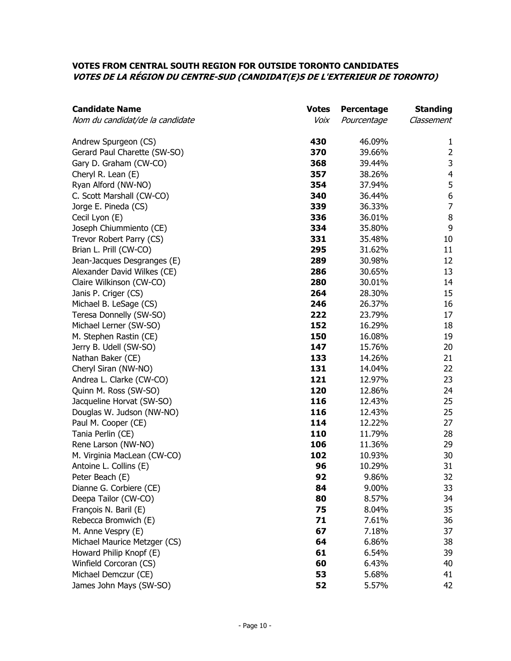#### **VOTES FROM CENTRAL SOUTH REGION FOR OUTSIDE TORONTO CANDIDATES VOTES DE LA RÉGION DU CENTRE-SUD (CANDIDAT(E)S DE L'EXTERIEUR DE TORONTO)**

| <b>Candidate Name</b>           | <b>Votes</b> | Percentage  | <b>Standing</b>  |
|---------------------------------|--------------|-------------|------------------|
| Nom du candidat/de la candidate | Voix         | Pourcentage | Classement       |
| Andrew Spurgeon (CS)            | 430          | 46.09%      | 1                |
| Gerard Paul Charette (SW-SO)    | 370          | 39.66%      | $\overline{2}$   |
| Gary D. Graham (CW-CO)          | 368          | 39.44%      | $\mathsf 3$      |
| Cheryl R. Lean (E)              | 357          | 38.26%      | $\overline{4}$   |
| Ryan Alford (NW-NO)             | 354          | 37.94%      | 5                |
| C. Scott Marshall (CW-CO)       | 340          | 36.44%      | $\boldsymbol{6}$ |
| Jorge E. Pineda (CS)            | 339          | 36.33%      | $\overline{7}$   |
| Cecil Lyon (E)                  | 336          | 36.01%      | $\, 8$           |
| Joseph Chiummiento (CE)         | 334          | 35.80%      | $\boldsymbol{9}$ |
| Trevor Robert Parry (CS)        | 331          | 35.48%      | 10               |
| Brian L. Prill (CW-CO)          | 295          | 31.62%      | 11               |
| Jean-Jacques Desgranges (E)     | 289          | 30.98%      | 12               |
| Alexander David Wilkes (CE)     | 286          | 30.65%      | 13               |
| Claire Wilkinson (CW-CO)        | 280          | 30.01%      | 14               |
| Janis P. Criger (CS)            | 264          | 28.30%      | 15               |
| Michael B. LeSage (CS)          | 246          | 26.37%      | 16               |
| Teresa Donnelly (SW-SO)         | 222          | 23.79%      | 17               |
| Michael Lerner (SW-SO)          | 152          | 16.29%      | 18               |
| M. Stephen Rastin (CE)          | 150          | 16.08%      | 19               |
| Jerry B. Udell (SW-SO)          | 147          | 15.76%      | 20               |
| Nathan Baker (CE)               | 133          | 14.26%      | 21               |
| Cheryl Siran (NW-NO)            | 131          | 14.04%      | 22               |
| Andrea L. Clarke (CW-CO)        | 121          | 12.97%      | 23               |
| Quinn M. Ross (SW-SO)           | 120          | 12.86%      | 24               |
| Jacqueline Horvat (SW-SO)       | 116          | 12.43%      | 25               |
| Douglas W. Judson (NW-NO)       | 116          | 12.43%      | 25               |
| Paul M. Cooper (CE)             | 114          | 12.22%      | 27               |
| Tania Perlin (CE)               | 110          | 11.79%      | 28               |
| Rene Larson (NW-NO)             | 106          | 11.36%      | 29               |
| M. Virginia MacLean (CW-CO)     | 102          | 10.93%      | 30               |
| Antoine L. Collins (E)          | 96           | 10.29%      | 31               |
| Peter Beach (E)                 | 92           | 9.86%       | 32               |
| Dianne G. Corbiere (CE)         | 84           | 9.00%       | 33               |
| Deepa Tailor (CW-CO)            | 80           | 8.57%       | 34               |
| François N. Baril (E)           | 75           | 8.04%       | 35               |
| Rebecca Bromwich (E)            | 71           | 7.61%       | 36               |
| M. Anne Vespry (E)              | 67           | 7.18%       | 37               |
| Michael Maurice Metzger (CS)    | 64           | 6.86%       | 38               |
| Howard Philip Knopf (E)         | 61           | 6.54%       | 39               |
| Winfield Corcoran (CS)          | 60           | 6.43%       | 40               |
| Michael Demczur (CE)            | 53           | 5.68%       | 41               |
| James John Mays (SW-SO)         | 52           | 5.57%       | 42               |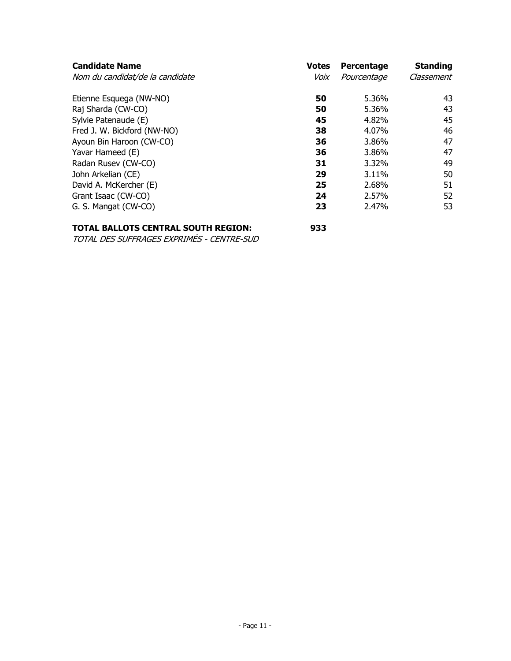| <b>Candidate Name</b>           | <b>Votes</b> | Percentage  | <b>Standing</b> |
|---------------------------------|--------------|-------------|-----------------|
| Nom du candidat/de la candidate | Voix         | Pourcentage | Classement      |
| Etienne Esquega (NW-NO)         | 50           | 5.36%       | 43              |
| Raj Sharda (CW-CO)              | 50           | 5.36%       | 43              |
| Sylvie Patenaude (E)            | 45           | 4.82%       | 45              |
| Fred J. W. Bickford (NW-NO)     | 38           | 4.07%       | 46              |
| Ayoun Bin Haroon (CW-CO)        | 36           | 3.86%       | 47              |
| Yavar Hameed (E)                | 36           | 3.86%       | 47              |
| Radan Rusev (CW-CO)             | 31           | 3.32%       | 49              |
| John Arkelian (CE)              | 29           | 3.11%       | 50              |
| David A. McKercher (E)          | 25           | 2.68%       | 51              |
| Grant Isaac (CW-CO)             | 24           | 2.57%       | 52              |
| G. S. Mangat (CW-CO)            | 23           | 2.47%       | 53              |

# **TOTAL BALLOTS CENTRAL SOUTH REGION: 933**

TOTAL DES SUFFRAGES EXPRIMÉS - CENTRE-SUD

- Page 11 -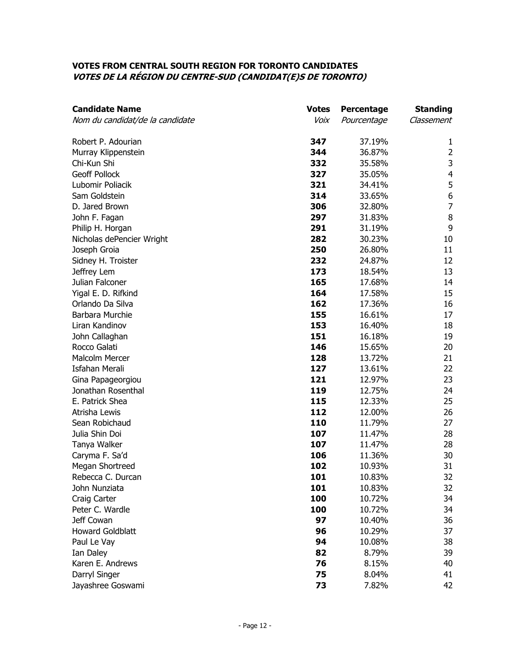#### **VOTES FROM CENTRAL SOUTH REGION FOR TORONTO CANDIDATES VOTES DE LA RÉGION DU CENTRE-SUD (CANDIDAT(E)S DE TORONTO)**

| <b>Candidate Name</b>           | <b>Votes</b> | Percentage  | <b>Standing</b>         |
|---------------------------------|--------------|-------------|-------------------------|
| Nom du candidat/de la candidate | Voix         | Pourcentage | Classement              |
| Robert P. Adourian              | 347          | 37.19%      | 1                       |
| Murray Klippenstein             | 344          | 36.87%      | $\overline{2}$          |
| Chi-Kun Shi                     | 332          | 35.58%      | 3                       |
| <b>Geoff Pollock</b>            | 327          | 35.05%      | $\overline{\mathbf{4}}$ |
| Lubomir Poliacik                | 321          | 34.41%      | 5                       |
| Sam Goldstein                   | 314          | 33.65%      | 6                       |
| D. Jared Brown                  | 306          | 32.80%      | $\overline{7}$          |
| John F. Fagan                   | 297          | 31.83%      | $\, 8$                  |
| Philip H. Horgan                | 291          | 31.19%      | 9                       |
| Nicholas dePencier Wright       | 282          | 30.23%      | 10                      |
| Joseph Groia                    | 250          | 26.80%      | 11                      |
| Sidney H. Troister              | 232          | 24.87%      | 12                      |
| Jeffrey Lem                     | 173          | 18.54%      | 13                      |
| Julian Falconer                 | 165          | 17.68%      | 14                      |
| Yigal E. D. Rifkind             | 164          | 17.58%      | 15                      |
| Orlando Da Silva                | 162          | 17.36%      | 16                      |
| Barbara Murchie                 | 155          | 16.61%      | 17                      |
| Liran Kandinov                  | 153          | 16.40%      | 18                      |
| John Callaghan                  | 151          | 16.18%      | 19                      |
| Rocco Galati                    | 146          | 15.65%      | 20                      |
| <b>Malcolm Mercer</b>           | 128          | 13.72%      | 21                      |
| <b>Isfahan Merali</b>           | 127          | 13.61%      | 22                      |
| Gina Papageorgiou               | 121          | 12.97%      | 23                      |
| Jonathan Rosenthal              | 119          | 12.75%      | 24                      |
| E. Patrick Shea                 | 115          | 12.33%      | 25                      |
| Atrisha Lewis                   | 112          | 12.00%      | 26                      |
| Sean Robichaud                  | 110          | 11.79%      | 27                      |
| Julia Shin Doi                  | 107          | 11.47%      | 28                      |
| Tanya Walker                    | 107          | 11.47%      | 28                      |
| Caryma F. Sa'd                  | 106          | 11.36%      | 30                      |
| Megan Shortreed                 | 102          | 10.93%      | 31                      |
| Rebecca C. Durcan               | 101          | 10.83%      | 32                      |
| John Nunziata                   | 101          | 10.83%      | 32                      |
| Craig Carter                    | 100          | 10.72%      | 34                      |
| Peter C. Wardle                 | 100          | 10.72%      | 34                      |
| Jeff Cowan                      | 97           | 10.40%      | 36                      |
| <b>Howard Goldblatt</b>         | 96           | 10.29%      | 37                      |
| Paul Le Vay                     | 94           | 10.08%      | 38                      |
| Ian Daley                       | 82           | 8.79%       | 39                      |
| Karen E. Andrews                | 76           | 8.15%       | 40                      |
| Darryl Singer                   | 75           | 8.04%       | 41                      |
| Jayashree Goswami               | 73           | 7.82%       | 42                      |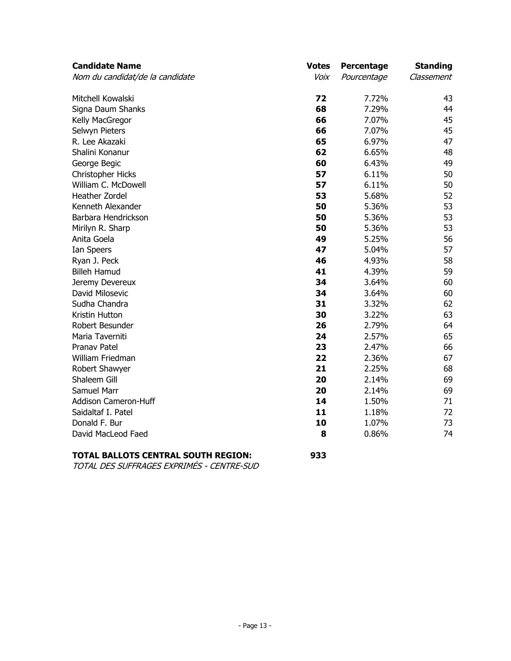| <b>Candidate Name</b>           | <b>Votes</b> | Percentage  | <b>Standing</b> |
|---------------------------------|--------------|-------------|-----------------|
| Nom du candidat/de la candidate | Voix         | Pourcentage | Classement      |
| Mitchell Kowalski               | 72           | 7.72%       |                 |
| Signa Daum Shanks               | 68           | 7.29%       |                 |
| Kelly MacGregor                 | 66           | 7.07%       |                 |
| Selwyn Pieters                  | 66           | 7.07%       |                 |
| R. Lee Akazaki                  | 65           | 6.97%       |                 |
| Shalini Konanur                 | 62           | 6.65%       |                 |
| George Begic                    | 60           | 6.43%       |                 |
| Christopher Hicks               | 57           | 6.11%       |                 |
| William C. McDowell             | 57           | 6.11%       |                 |
| Heather Zordel                  | 53           | 5.68%       |                 |
| Kenneth Alexander               | 50           | 5.36%       |                 |
| Barbara Hendrickson             | 50           | 5.36%       |                 |
| Mirilyn R. Sharp                | 50           | 5.36%       |                 |
| Anita Goela                     | 49           | 5.25%       |                 |
| Ian Speers                      | 47           | 5.04%       |                 |
| Ryan J. Peck                    | 46           | 4.93%       |                 |
| <b>Billeh Hamud</b>             | 41           | 4.39%       |                 |
| Jeremy Devereux                 | 34           | 3.64%       |                 |
| David Milosevic                 | 34           | 3.64%       |                 |
| Sudha Chandra                   | 31           | 3.32%       |                 |
| Kristin Hutton                  | 30           | 3.22%       |                 |
| Robert Besunder                 | 26           | 2.79%       |                 |
| Maria Taverniti                 | 24           | 2.57%       |                 |
| Pranav Patel                    | 23           | 2.47%       |                 |
| William Friedman                | 22           | 2.36%       |                 |
| Robert Shawyer                  | 21           | 2.25%       |                 |
| Shaleem Gill                    | 20           | 2.14%       |                 |
| <b>Samuel Marr</b>              | 20           | 2.14%       |                 |
| Addison Cameron-Huff            | 14           | 1.50%       |                 |
| Saidaltaf I. Patel              | 11           | 1.18%       |                 |
| Donald F. Bur                   | 10           | 1.07%       |                 |
| David MacLeod Faed              | 8            | 0.86%       |                 |

# **TOTAL BALLOTS CENTRAL SOUTH REGION: 933**

TOTAL DES SUFFRAGES EXPRIMÉS - CENTRE-SUD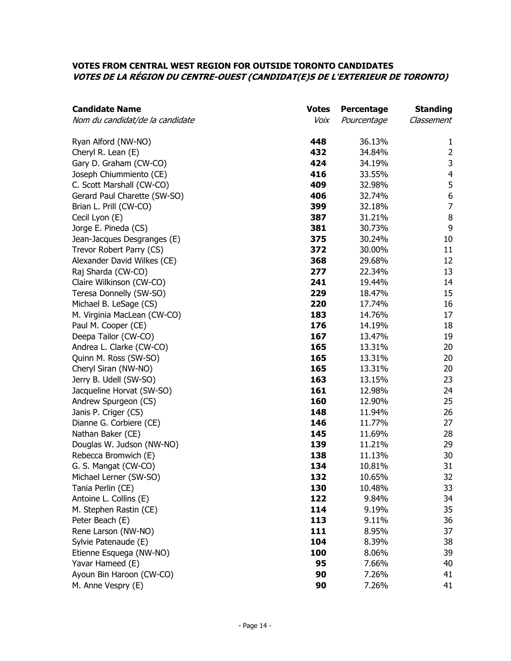## **VOTES FROM CENTRAL WEST REGION FOR OUTSIDE TORONTO CANDIDATES VOTES DE LA RÉGION DU CENTRE-OUEST (CANDIDAT(E)S DE L'EXTERIEUR DE TORONTO)**

| <b>Candidate Name</b>           | <b>Votes</b> | Percentage  | <b>Standing</b>  |
|---------------------------------|--------------|-------------|------------------|
| Nom du candidat/de la candidate | Voix         | Pourcentage | Classement       |
| Ryan Alford (NW-NO)             | 448          | 36.13%      | 1                |
| Cheryl R. Lean (E)              | 432          | 34.84%      | $\overline{2}$   |
| Gary D. Graham (CW-CO)          | 424          | 34.19%      | $\mathsf 3$      |
| Joseph Chiummiento (CE)         | 416          | 33.55%      | 4                |
| C. Scott Marshall (CW-CO)       | 409          | 32.98%      | 5                |
| Gerard Paul Charette (SW-SO)    | 406          | 32.74%      | $\boldsymbol{6}$ |
| Brian L. Prill (CW-CO)          | 399          | 32.18%      | $\overline{7}$   |
| Cecil Lyon (E)                  | 387          | 31.21%      | $\, 8$           |
| Jorge E. Pineda (CS)            | 381          | 30.73%      | 9                |
| Jean-Jacques Desgranges (E)     | 375          | 30.24%      | 10               |
| Trevor Robert Parry (CS)        | 372          | 30.00%      | 11               |
| Alexander David Wilkes (CE)     | 368          | 29.68%      | 12               |
| Raj Sharda (CW-CO)              | 277          | 22.34%      | 13               |
| Claire Wilkinson (CW-CO)        | 241          | 19.44%      | 14               |
| Teresa Donnelly (SW-SO)         | 229          | 18.47%      | 15               |
| Michael B. LeSage (CS)          | 220          | 17.74%      | 16               |
| M. Virginia MacLean (CW-CO)     | 183          | 14.76%      | 17               |
| Paul M. Cooper (CE)             | 176          | 14.19%      | 18               |
| Deepa Tailor (CW-CO)            | 167          | 13.47%      | 19               |
| Andrea L. Clarke (CW-CO)        | 165          | 13.31%      | 20               |
| Quinn M. Ross (SW-SO)           | 165          | 13.31%      | 20               |
| Cheryl Siran (NW-NO)            | 165          | 13.31%      | 20               |
| Jerry B. Udell (SW-SO)          | 163          | 13.15%      | 23               |
| Jacqueline Horvat (SW-SO)       | 161          | 12.98%      | 24               |
| Andrew Spurgeon (CS)            | 160          | 12.90%      | 25               |
| Janis P. Criger (CS)            | 148          | 11.94%      | 26               |
| Dianne G. Corbiere (CE)         | 146          | 11.77%      | 27               |
| Nathan Baker (CE)               | 145          | 11.69%      | 28               |
| Douglas W. Judson (NW-NO)       | 139          | 11.21%      | 29               |
| Rebecca Bromwich (E)            | 138          | 11.13%      | 30               |
| G. S. Mangat (CW-CO)            | 134          | 10.81%      | 31               |
| Michael Lerner (SW-SO)          | 132          | 10.65%      | 32               |
| Tania Perlin (CE)               | 130          | 10.48%      | 33               |
| Antoine L. Collins (E)          | 122          | 9.84%       | 34               |
| M. Stephen Rastin (CE)          | 114          | 9.19%       | 35               |
| Peter Beach (E)                 | 113          | 9.11%       | 36               |
| Rene Larson (NW-NO)             | 111          | 8.95%       | 37               |
| Sylvie Patenaude (E)            | 104          | 8.39%       | 38               |
| Etienne Esquega (NW-NO)         | 100          | 8.06%       | 39               |
| Yavar Hameed (E)                | 95           | 7.66%       | 40               |
| Ayoun Bin Haroon (CW-CO)        | 90           | 7.26%       | 41               |
| M. Anne Vespry (E)              | 90           | 7.26%       | 41               |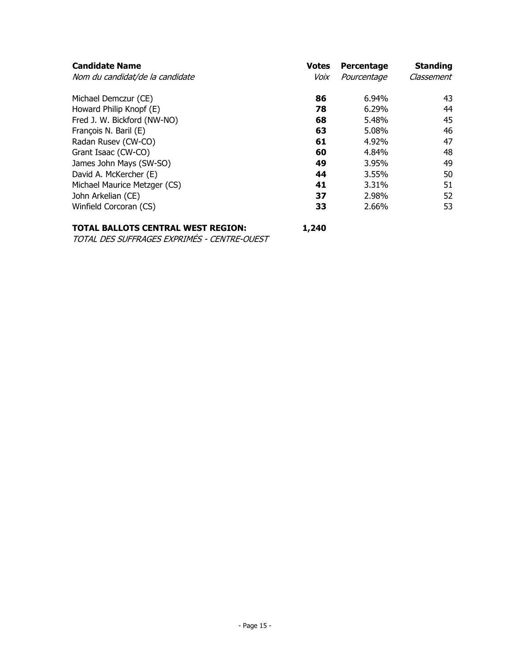| <b>Candidate Name</b><br>Nom du candidat/de la candidate | <b>Votes</b><br>Voix | Percentage<br>Pourcentage | <b>Standing</b><br>Classement |
|----------------------------------------------------------|----------------------|---------------------------|-------------------------------|
| Michael Demczur (CE)                                     | 86                   | 6.94%                     | 43                            |
| Howard Philip Knopf (E)                                  | 78                   | 6.29%                     | 44                            |
| Fred J. W. Bickford (NW-NO)                              | 68                   | 5.48%                     | 45                            |
| François N. Baril (E)                                    | 63                   | 5.08%                     | 46                            |
| Radan Rusev (CW-CO)                                      | 61                   | 4.92%                     | 47                            |
| Grant Isaac (CW-CO)                                      | 60                   | 4.84%                     | 48                            |
| James John Mays (SW-SO)                                  | 49                   | 3.95%                     | 49                            |
| David A. McKercher (E)                                   | 44                   | 3.55%                     | 50                            |
| Michael Maurice Metzger (CS)                             | 41                   | 3.31%                     | 51                            |
| John Arkelian (CE)                                       | 37                   | 2.98%                     | 52                            |
| Winfield Corcoran (CS)                                   | 33                   | 2.66%                     | 53                            |

# **TOTAL BALLOTS CENTRAL WEST REGION: 1,240**

TOTAL DES SUFFRAGES EXPRIMÉS - CENTRE-OUEST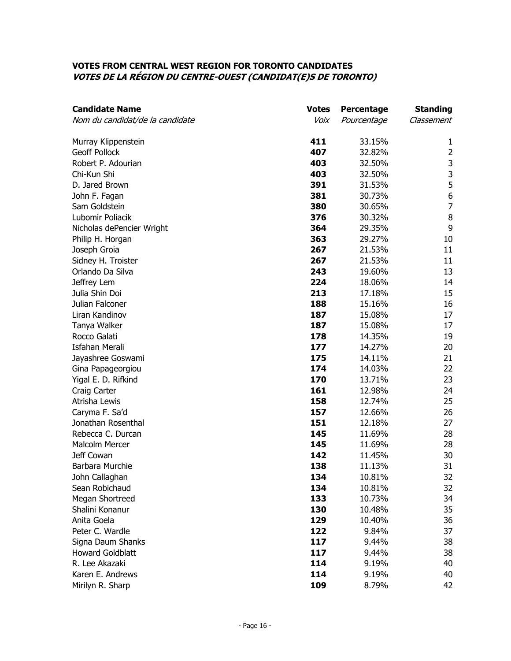#### **VOTES FROM CENTRAL WEST REGION FOR TORONTO CANDIDATES VOTES DE LA RÉGION DU CENTRE-OUEST (CANDIDAT(E)S DE TORONTO)**

| <b>Candidate Name</b>           | <b>Votes</b> | Percentage  | <b>Standing</b>  |
|---------------------------------|--------------|-------------|------------------|
| Nom du candidat/de la candidate | Voix         | Pourcentage | Classement       |
| Murray Klippenstein             | 411          | 33.15%      | 1                |
| <b>Geoff Pollock</b>            | 407          | 32.82%      | $\overline{2}$   |
| Robert P. Adourian              | 403          | 32.50%      | 3                |
| Chi-Kun Shi                     | 403          | 32.50%      | 3                |
| D. Jared Brown                  | 391          | 31.53%      | 5                |
| John F. Fagan                   | 381          | 30.73%      | $\boldsymbol{6}$ |
| Sam Goldstein                   | 380          | 30.65%      | $\overline{7}$   |
| Lubomir Poliacik                | 376          | 30.32%      | $\,8\,$          |
| Nicholas dePencier Wright       | 364          | 29.35%      | 9                |
| Philip H. Horgan                | 363          | 29.27%      | 10               |
| Joseph Groia                    | 267          | 21.53%      | 11               |
| Sidney H. Troister              | 267          | 21.53%      | 11               |
| Orlando Da Silva                | 243          | 19.60%      | 13               |
| Jeffrey Lem                     | 224          | 18.06%      | 14               |
| Julia Shin Doi                  | 213          | 17.18%      | 15               |
| Julian Falconer                 | 188          | 15.16%      | 16               |
| Liran Kandinov                  | 187          | 15.08%      | 17               |
| Tanya Walker                    | 187          | 15.08%      | 17               |
| Rocco Galati                    | 178          | 14.35%      | 19               |
| <b>Isfahan Merali</b>           | 177          | 14.27%      | 20               |
| Jayashree Goswami               | 175          | 14.11%      | 21               |
| Gina Papageorgiou               | 174          | 14.03%      | 22               |
| Yigal E. D. Rifkind             | 170          | 13.71%      | 23               |
| Craig Carter                    | 161          | 12.98%      | 24               |
| Atrisha Lewis                   | 158          | 12.74%      | 25               |
| Caryma F. Sa'd                  | 157          | 12.66%      | 26               |
| Jonathan Rosenthal              | 151          | 12.18%      | 27               |
| Rebecca C. Durcan               | 145          | 11.69%      | 28               |
| Malcolm Mercer                  | 145          | 11.69%      | 28               |
| Jeff Cowan                      | 142          | 11.45%      | 30               |
| Barbara Murchie                 | 138          | 11.13%      | 31               |
| John Callaghan                  | 134          | 10.81%      | 32               |
| Sean Robichaud                  | 134          | 10.81%      | 32               |
| Megan Shortreed                 | 133          | 10.73%      | 34               |
| Shalini Konanur                 | 130          | 10.48%      | 35               |
| Anita Goela                     | 129          | 10.40%      | 36               |
| Peter C. Wardle                 | 122          | 9.84%       | 37               |
| Signa Daum Shanks               | 117          | 9.44%       | 38               |
| <b>Howard Goldblatt</b>         | 117          | 9.44%       | 38               |
| R. Lee Akazaki                  | 114          | 9.19%       | 40               |
| Karen E. Andrews                | 114          | 9.19%       | 40               |
| Mirilyn R. Sharp                | 109          | 8.79%       | 42               |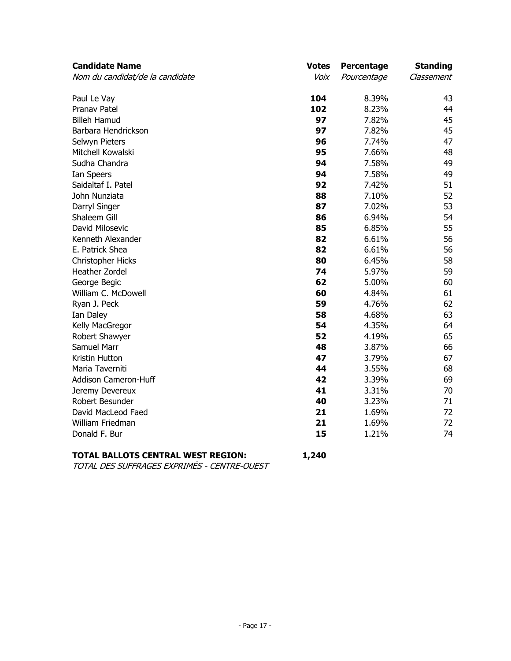| <b>Candidate Name</b>           | <b>Votes</b> | Percentage  | <b>Standing</b> |
|---------------------------------|--------------|-------------|-----------------|
| Nom du candidat/de la candidate | Voix         | Pourcentage | Classement      |
| Paul Le Vay                     | 104          | 8.39%       | 43              |
| Pranav Patel                    | 102          | 8.23%       | 44              |
| <b>Billeh Hamud</b>             | 97           | 7.82%       | 45              |
| Barbara Hendrickson             | 97           | 7.82%       | 45              |
| Selwyn Pieters                  | 96           | 7.74%       | 47              |
| Mitchell Kowalski               | 95           | 7.66%       | 48              |
| Sudha Chandra                   | 94           | 7.58%       | 49              |
| Ian Speers                      | 94           | 7.58%       | 49              |
| Saidaltaf I. Patel              | 92           | 7.42%       | 51              |
| John Nunziata                   | 88           | 7.10%       | 52              |
| Darryl Singer                   | 87           | 7.02%       | 53              |
| Shaleem Gill                    | 86           | 6.94%       | 54              |
| David Milosevic                 | 85           | 6.85%       | 55              |
| Kenneth Alexander               | 82           | 6.61%       | 56              |
| E. Patrick Shea                 | 82           | 6.61%       | 56              |
| Christopher Hicks               | 80           | 6.45%       | 58              |
| Heather Zordel                  | 74           | 5.97%       | 59              |
| George Begic                    | 62           | 5.00%       | 60              |
| William C. McDowell             | 60           | 4.84%       | 61              |
| Ryan J. Peck                    | 59           | 4.76%       | 62              |
| Ian Daley                       | 58           | 4.68%       | 63              |
| Kelly MacGregor                 | 54           | 4.35%       | 64              |
| Robert Shawyer                  | 52           | 4.19%       | 65              |
| Samuel Marr                     | 48           | 3.87%       | 66              |
| Kristin Hutton                  | 47           | 3.79%       | 67              |
| Maria Taverniti                 | 44           | 3.55%       | 68              |
| Addison Cameron-Huff            | 42           | 3.39%       | 69              |
| Jeremy Devereux                 | 41           | 3.31%       | 70              |
| Robert Besunder                 | 40           | 3.23%       | 71              |
| David MacLeod Faed              | 21           | 1.69%       | 72              |
| William Friedman                | 21           | 1.69%       | 72              |
| Donald F. Bur                   | 15           | 1.21%       | 74              |

# **TOTAL BALLOTS CENTRAL WEST REGION: 1,240**

TOTAL DES SUFFRAGES EXPRIMÉS - CENTRE-OUEST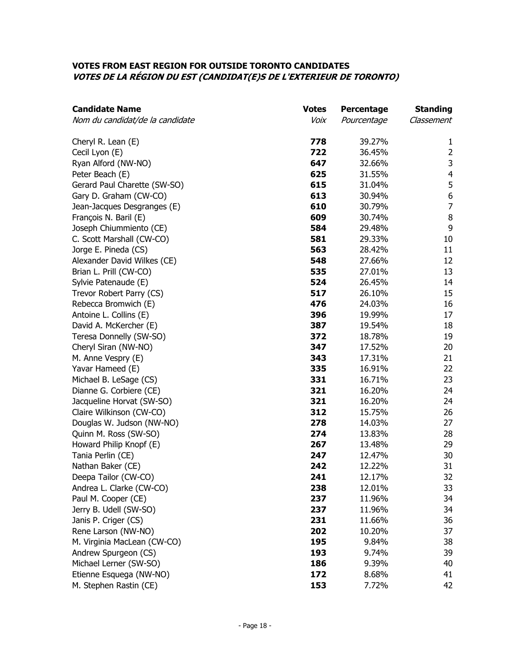#### **VOTES FROM EAST REGION FOR OUTSIDE TORONTO CANDIDATES VOTES DE LA RÉGION DU EST (CANDIDAT(E)S DE L'EXTERIEUR DE TORONTO)**

| <b>Candidate Name</b>           | <b>Votes</b> | Percentage  | <b>Standing</b>         |
|---------------------------------|--------------|-------------|-------------------------|
| Nom du candidat/de la candidate | Voix         | Pourcentage | Classement              |
| Cheryl R. Lean (E)              | 778          | 39.27%      | 1                       |
| Cecil Lyon (E)                  | 722          | 36.45%      | $\overline{2}$          |
| Ryan Alford (NW-NO)             | 647          | 32.66%      | 3                       |
| Peter Beach (E)                 | 625          | 31.55%      | $\overline{\mathbf{4}}$ |
| Gerard Paul Charette (SW-SO)    | 615          | 31.04%      | 5                       |
| Gary D. Graham (CW-CO)          | 613          | 30.94%      | $\boldsymbol{6}$        |
| Jean-Jacques Desgranges (E)     | 610          | 30.79%      | $\overline{7}$          |
| François N. Baril (E)           | 609          | 30.74%      | $\, 8$                  |
| Joseph Chiummiento (CE)         | 584          | 29.48%      | 9                       |
| C. Scott Marshall (CW-CO)       | 581          | 29.33%      | 10                      |
| Jorge E. Pineda (CS)            | 563          | 28.42%      | 11                      |
| Alexander David Wilkes (CE)     | 548          | 27.66%      | 12                      |
| Brian L. Prill (CW-CO)          | 535          | 27.01%      | 13                      |
| Sylvie Patenaude (E)            | 524          | 26.45%      | 14                      |
| Trevor Robert Parry (CS)        | 517          | 26.10%      | 15                      |
| Rebecca Bromwich (E)            | 476          | 24.03%      | 16                      |
| Antoine L. Collins (E)          | 396          | 19.99%      | 17                      |
| David A. McKercher (E)          | 387          | 19.54%      | 18                      |
| Teresa Donnelly (SW-SO)         | 372          | 18.78%      | 19                      |
| Cheryl Siran (NW-NO)            | 347          | 17.52%      | 20                      |
| M. Anne Vespry (E)              | 343          | 17.31%      | 21                      |
| Yavar Hameed (E)                | 335          | 16.91%      | 22                      |
| Michael B. LeSage (CS)          | 331          | 16.71%      | 23                      |
| Dianne G. Corbiere (CE)         | 321          | 16.20%      | 24                      |
| Jacqueline Horvat (SW-SO)       | 321          | 16.20%      | 24                      |
| Claire Wilkinson (CW-CO)        | 312          | 15.75%      | 26                      |
| Douglas W. Judson (NW-NO)       | 278          | 14.03%      | 27                      |
| Quinn M. Ross (SW-SO)           | 274          | 13.83%      | 28                      |
| Howard Philip Knopf (E)         | 267          | 13.48%      | 29                      |
| Tania Perlin (CE)               | 247          | 12.47%      | 30                      |
| Nathan Baker (CE)               | 242          | 12.22%      | 31                      |
| Deepa Tailor (CW-CO)            | 241          | 12.17%      | 32                      |
| Andrea L. Clarke (CW-CO)        | 238          | 12.01%      | 33                      |
| Paul M. Cooper (CE)             | 237          | 11.96%      | 34                      |
| Jerry B. Udell (SW-SO)          | 237          | 11.96%      | 34                      |
| Janis P. Criger (CS)            | 231          | 11.66%      | 36                      |
| Rene Larson (NW-NO)             | 202          | 10.20%      | 37                      |
| M. Virginia MacLean (CW-CO)     | 195          | 9.84%       | 38                      |
| Andrew Spurgeon (CS)            | 193          | 9.74%       | 39                      |
| Michael Lerner (SW-SO)          | 186          | 9.39%       | 40                      |
| Etienne Esquega (NW-NO)         | 172          | 8.68%       | 41                      |
| M. Stephen Rastin (CE)          | 153          | 7.72%       | 42                      |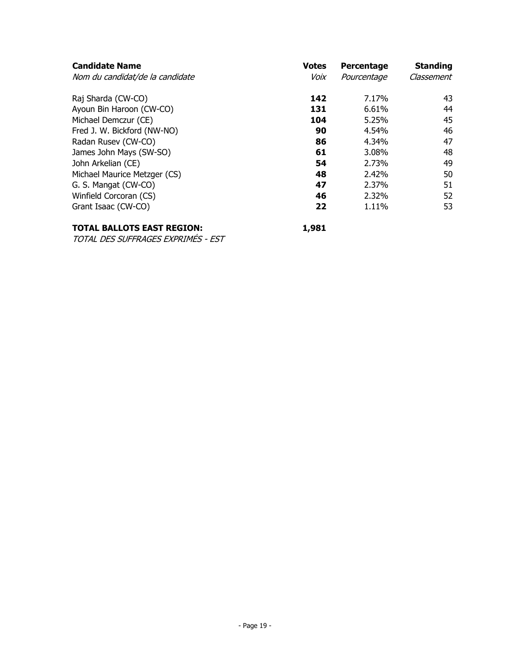| <b>Votes</b><br>Voix | Percentage<br>Pourcentage | <b>Standing</b><br>Classement |
|----------------------|---------------------------|-------------------------------|
| 142                  | 7.17%                     | 43                            |
| 131                  | 6.61%                     | 44                            |
| 104                  | 5.25%                     | 45                            |
| 90                   | 4.54%                     | 46                            |
| 86                   | 4.34%                     | 47                            |
| 61                   | 3.08%                     | 48                            |
| 54                   | 2.73%                     | 49                            |
| 48                   | 2.42%                     | 50                            |
| 47                   | 2.37%                     | 51                            |
| 46                   | 2.32%                     | 52                            |
| 22                   | 1.11%                     | 53                            |
|                      |                           |                               |

# **TOTAL BALLOTS EAST REGION:** 1,981

TOTAL DES SUFFRAGES EXPRIMÉS - EST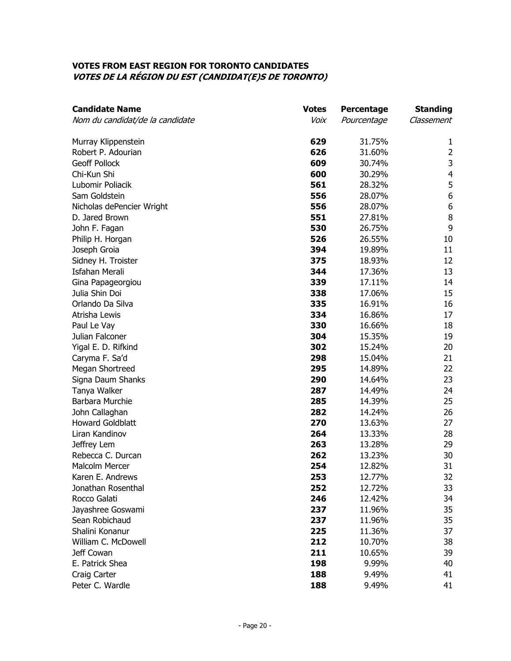#### **VOTES FROM EAST REGION FOR TORONTO CANDIDATES VOTES DE LA RÉGION DU EST (CANDIDAT(E)S DE TORONTO)**

| <b>Candidate Name</b>           | <b>Votes</b> | Percentage  | <b>Standing</b>         |
|---------------------------------|--------------|-------------|-------------------------|
| Nom du candidat/de la candidate | Voix         | Pourcentage | Classement              |
| Murray Klippenstein             | 629          | 31.75%      | 1                       |
| Robert P. Adourian              | 626          | 31.60%      | $\overline{2}$          |
| <b>Geoff Pollock</b>            | 609          | 30.74%      | 3                       |
| Chi-Kun Shi                     | 600          | 30.29%      | $\overline{\mathbf{4}}$ |
| Lubomir Poliacik                | 561          | 28.32%      | 5                       |
| Sam Goldstein                   | 556          | 28.07%      | 6                       |
| Nicholas dePencier Wright       | 556          | 28.07%      | $\boldsymbol{6}$        |
| D. Jared Brown                  | 551          | 27.81%      | $\, 8$                  |
| John F. Fagan                   | 530          | 26.75%      | 9                       |
| Philip H. Horgan                | 526          | 26.55%      | 10                      |
| Joseph Groia                    | 394          | 19.89%      | 11                      |
| Sidney H. Troister              | 375          | 18.93%      | 12                      |
| <b>Isfahan Merali</b>           | 344          | 17.36%      | 13                      |
| Gina Papageorgiou               | 339          | 17.11%      | 14                      |
| Julia Shin Doi                  | 338          | 17.06%      | 15                      |
| Orlando Da Silva                | 335          | 16.91%      | 16                      |
| Atrisha Lewis                   | 334          | 16.86%      | 17                      |
| Paul Le Vay                     | 330          | 16.66%      | 18                      |
| Julian Falconer                 | 304          | 15.35%      | 19                      |
| Yigal E. D. Rifkind             | 302          | 15.24%      | 20                      |
| Caryma F. Sa'd                  | 298          | 15.04%      | 21                      |
| Megan Shortreed                 | 295          | 14.89%      | 22                      |
| Signa Daum Shanks               | 290          | 14.64%      | 23                      |
| Tanya Walker                    | 287          | 14.49%      | 24                      |
| Barbara Murchie                 | 285          | 14.39%      | 25                      |
| John Callaghan                  | 282          | 14.24%      | 26                      |
| <b>Howard Goldblatt</b>         | 270          | 13.63%      | 27                      |
| Liran Kandinov                  | 264          | 13.33%      | 28                      |
| Jeffrey Lem                     | 263          | 13.28%      | 29                      |
| Rebecca C. Durcan               | 262          | 13.23%      | 30                      |
| <b>Malcolm Mercer</b>           | 254          | 12.82%      | 31                      |
| Karen E. Andrews                | 253          | 12.77%      | 32                      |
| Jonathan Rosenthal              | 252          | 12.72%      | 33                      |
| Rocco Galati                    | 246          | 12.42%      | 34                      |
| Jayashree Goswami               | 237          | 11.96%      | 35                      |
| Sean Robichaud                  | 237          | 11.96%      | 35                      |
| Shalini Konanur                 | 225          | 11.36%      | 37                      |
| William C. McDowell             | 212          | 10.70%      | 38                      |
| Jeff Cowan                      | 211          | 10.65%      | 39                      |
| E. Patrick Shea                 | 198          | 9.99%       | 40                      |
| Craig Carter                    | 188          | 9.49%       | 41                      |
| Peter C. Wardle                 | 188          | 9.49%       | 41                      |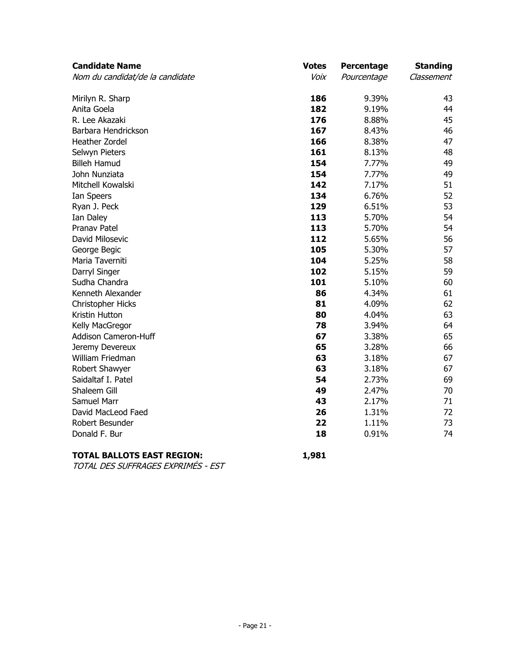| <b>Candidate Name</b>           | <b>Votes</b> | Percentage  | <b>Standing</b> |
|---------------------------------|--------------|-------------|-----------------|
| Nom du candidat/de la candidate | Voix         | Pourcentage | Classement      |
| Mirilyn R. Sharp                | 186          | 9.39%       | 43              |
| Anita Goela                     | 182          | 9.19%       | 44              |
| R. Lee Akazaki                  | 176          | 8.88%       | 45              |
| Barbara Hendrickson             | 167          | 8.43%       | 46              |
| Heather Zordel                  | 166          | 8.38%       | 47              |
| Selwyn Pieters                  | 161          | 8.13%       | 48              |
| <b>Billeh Hamud</b>             | 154          | 7.77%       | 49              |
| John Nunziata                   | 154          | 7.77%       | 49              |
| Mitchell Kowalski               | 142          | 7.17%       | 51              |
| Ian Speers                      | 134          | 6.76%       | 52              |
| Ryan J. Peck                    | 129          | 6.51%       | 53              |
| Ian Daley                       | 113          | 5.70%       | 54              |
| Pranav Patel                    | 113          | 5.70%       | 54              |
| David Milosevic                 | 112          | 5.65%       | 56              |
| George Begic                    | 105          | 5.30%       | 57              |
| Maria Taverniti                 | 104          | 5.25%       | 58              |
| Darryl Singer                   | 102          | 5.15%       | 59              |
| Sudha Chandra                   | 101          | 5.10%       | 60              |
| Kenneth Alexander               | 86           | 4.34%       | 61              |
| <b>Christopher Hicks</b>        | 81           | 4.09%       | 62              |
| Kristin Hutton                  | 80           | 4.04%       | 63              |
| Kelly MacGregor                 | 78           | 3.94%       | 64              |
| Addison Cameron-Huff            | 67           | 3.38%       | 65              |
| Jeremy Devereux                 | 65           | 3.28%       | 66              |
| William Friedman                | 63           | 3.18%       | 67              |
| Robert Shawyer                  | 63           | 3.18%       | 67              |
| Saidaltaf I. Patel              | 54           | 2.73%       | 69              |
| Shaleem Gill                    | 49           | 2.47%       | 70              |
| Samuel Marr                     | 43           | 2.17%       | 71              |
| David MacLeod Faed              | 26           | 1.31%       | 72              |
| Robert Besunder                 | 22           | 1.11%       | 73              |
| Donald F. Bur                   | 18           | 0.91%       | 74              |

# **TOTAL BALLOTS EAST REGION: 1,981**

TOTAL DES SUFFRAGES EXPRIMÉS - EST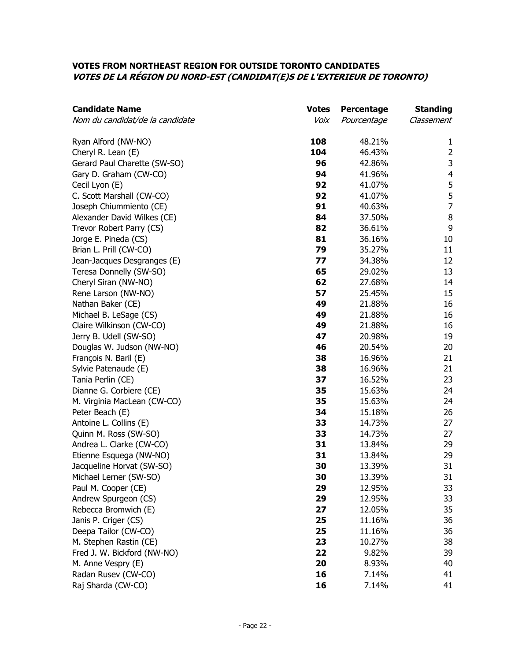## **VOTES FROM NORTHEAST REGION FOR OUTSIDE TORONTO CANDIDATES VOTES DE LA RÉGION DU NORD-EST (CANDIDAT(E)S DE L'EXTERIEUR DE TORONTO)**

| <b>Candidate Name</b>           | <b>Votes</b> | Percentage  | <b>Standing</b> |
|---------------------------------|--------------|-------------|-----------------|
| Nom du candidat/de la candidate | Voix         | Pourcentage | Classement      |
| Ryan Alford (NW-NO)             | 108          | 48.21%      | $\mathbf{1}$    |
| Cheryl R. Lean (E)              | 104          | 46.43%      | $\overline{2}$  |
| Gerard Paul Charette (SW-SO)    | 96           | 42.86%      | 3               |
| Gary D. Graham (CW-CO)          | 94           | 41.96%      | 4               |
| Cecil Lyon (E)                  | 92           | 41.07%      | 5               |
| C. Scott Marshall (CW-CO)       | 92           | 41.07%      | 5               |
| Joseph Chiummiento (CE)         | 91           | 40.63%      | $\overline{7}$  |
| Alexander David Wilkes (CE)     | 84           | 37.50%      | $\, 8$          |
| Trevor Robert Parry (CS)        | 82           | 36.61%      | 9               |
| Jorge E. Pineda (CS)            | 81           | 36.16%      | 10              |
| Brian L. Prill (CW-CO)          | 79           | 35.27%      | 11              |
| Jean-Jacques Desgranges (E)     | 77           | 34.38%      | 12              |
| Teresa Donnelly (SW-SO)         | 65           | 29.02%      | 13              |
| Cheryl Siran (NW-NO)            | 62           | 27.68%      | 14              |
| Rene Larson (NW-NO)             | 57           | 25.45%      | 15              |
| Nathan Baker (CE)               | 49           | 21.88%      | 16              |
| Michael B. LeSage (CS)          | 49           | 21.88%      | 16              |
| Claire Wilkinson (CW-CO)        | 49           | 21.88%      | 16              |
| Jerry B. Udell (SW-SO)          | 47           | 20.98%      | 19              |
| Douglas W. Judson (NW-NO)       | 46           | 20.54%      | 20              |
| François N. Baril (E)           | 38           | 16.96%      | 21              |
| Sylvie Patenaude (E)            | 38           | 16.96%      | 21              |
| Tania Perlin (CE)               | 37           | 16.52%      | 23              |
| Dianne G. Corbiere (CE)         | 35           | 15.63%      | 24              |
| M. Virginia MacLean (CW-CO)     | 35           | 15.63%      | 24              |
| Peter Beach (E)                 | 34           | 15.18%      | 26              |
| Antoine L. Collins (E)          | 33           | 14.73%      | 27              |
| Quinn M. Ross (SW-SO)           | 33           | 14.73%      | 27              |
| Andrea L. Clarke (CW-CO)        | 31           | 13.84%      | 29              |
| Etienne Esquega (NW-NO)         | 31           | 13.84%      | 29              |
| Jacqueline Horvat (SW-SO)       | 30           | 13.39%      | 31              |
| Michael Lerner (SW-SO)          | 30           | 13.39%      | 31              |
| Paul M. Cooper (CE)             | 29           | 12.95%      | 33              |
| Andrew Spurgeon (CS)            | 29           | 12.95%      | 33              |
| Rebecca Bromwich (E)            | 27           | 12.05%      | 35              |
| Janis P. Criger (CS)            | 25           | 11.16%      | 36              |
| Deepa Tailor (CW-CO)            | 25           | 11.16%      | 36              |
| M. Stephen Rastin (CE)          | 23           | 10.27%      | 38              |
| Fred J. W. Bickford (NW-NO)     | 22           | 9.82%       | 39              |
| M. Anne Vespry (E)              | 20           | 8.93%       | 40              |
| Radan Rusev (CW-CO)             | 16           | 7.14%       | 41              |
| Raj Sharda (CW-CO)              | 16           | 7.14%       | 41              |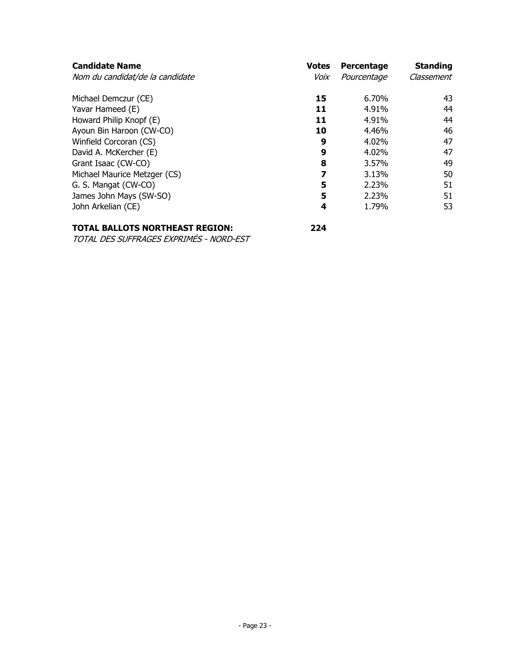| <b>Candidate Name</b><br>Nom du candidat/de la candidate | <b>Votes</b><br>Voix | Percentage<br>Pourcentage | <b>Standing</b><br>Classement |
|----------------------------------------------------------|----------------------|---------------------------|-------------------------------|
|                                                          |                      |                           |                               |
| Michael Demczur (CE)                                     | 15                   | 6.70%                     | 43                            |
| Yavar Hameed (E)                                         | 11                   | 4.91%                     | 44                            |
| Howard Philip Knopf (E)                                  | 11                   | 4.91%                     | 44                            |
| Ayoun Bin Haroon (CW-CO)                                 | 10                   | 4.46%                     | 46                            |
| Winfield Corcoran (CS)                                   | 9                    | 4.02%                     | 47                            |
| David A. McKercher (E)                                   | 9                    | 4.02%                     | 47                            |
| Grant Isaac (CW-CO)                                      | 8                    | 3.57%                     | 49                            |
| Michael Maurice Metzger (CS)                             | 7                    | 3.13%                     | 50                            |
| G. S. Mangat (CW-CO)                                     | 5                    | 2.23%                     | 51                            |
| James John Mays (SW-SO)                                  | 5                    | 2.23%                     | 51                            |
| John Arkelian (CE)                                       | 4                    | 1.79%                     | 53                            |
|                                                          |                      |                           |                               |

# **TOTAL BALLOTS NORTHEAST REGION: 224**

TOTAL DES SUFFRAGES EXPRIMÉS - NORD-EST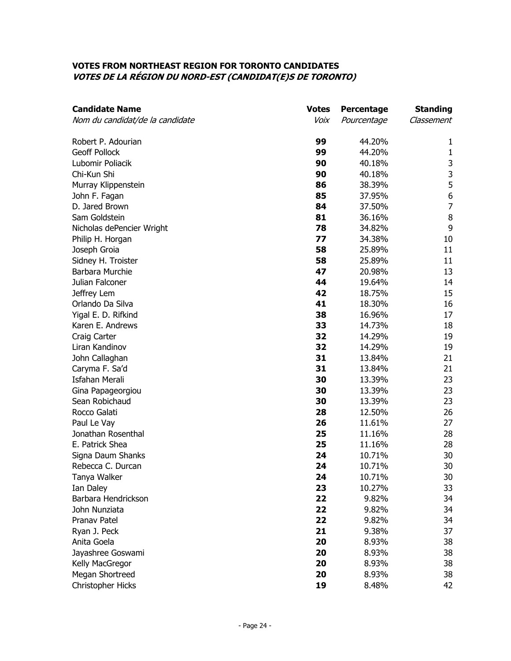#### **VOTES FROM NORTHEAST REGION FOR TORONTO CANDIDATES VOTES DE LA RÉGION DU NORD-EST (CANDIDAT(E)S DE TORONTO)**

| <b>Candidate Name</b>           | <b>Votes</b> | Percentage  | <b>Standing</b>  |
|---------------------------------|--------------|-------------|------------------|
| Nom du candidat/de la candidate | Voix         | Pourcentage | Classement       |
| Robert P. Adourian              | 99           | 44.20%      | 1                |
| <b>Geoff Pollock</b>            | 99           | 44.20%      | $\mathbf{1}$     |
| Lubomir Poliacik                | 90           | 40.18%      |                  |
| Chi-Kun Shi                     | 90           | 40.18%      | $\frac{3}{3}$    |
| Murray Klippenstein             | 86           | 38.39%      | 5                |
| John F. Fagan                   | 85           | 37.95%      | $\boldsymbol{6}$ |
| D. Jared Brown                  | 84           | 37.50%      | $\overline{7}$   |
| Sam Goldstein                   | 81           | 36.16%      | $\, 8$           |
| Nicholas dePencier Wright       | 78           | 34.82%      | 9                |
| Philip H. Horgan                | 77           | 34.38%      | 10               |
| Joseph Groia                    | 58           | 25.89%      | 11               |
| Sidney H. Troister              | 58           | 25.89%      | 11               |
| Barbara Murchie                 | 47           | 20.98%      | 13               |
| Julian Falconer                 | 44           | 19.64%      | 14               |
| Jeffrey Lem                     | 42           | 18.75%      | 15               |
| Orlando Da Silva                | 41           | 18.30%      | 16               |
| Yigal E. D. Rifkind             | 38           | 16.96%      | 17               |
| Karen E. Andrews                | 33           | 14.73%      | 18               |
| Craig Carter                    | 32           | 14.29%      | 19               |
| Liran Kandinov                  | 32           | 14.29%      | 19               |
| John Callaghan                  | 31           | 13.84%      | 21               |
| Caryma F. Sa'd                  | 31           | 13.84%      | 21               |
| <b>Isfahan Merali</b>           | 30           | 13.39%      | 23               |
| Gina Papageorgiou               | 30           | 13.39%      | 23               |
| Sean Robichaud                  | 30           | 13.39%      | 23               |
| Rocco Galati                    | 28           | 12.50%      | 26               |
| Paul Le Vay                     | 26           | 11.61%      | 27               |
| Jonathan Rosenthal              | 25           | 11.16%      | 28               |
| E. Patrick Shea                 | 25           | 11.16%      | 28               |
| Signa Daum Shanks               | 24           | 10.71%      | 30               |
| Rebecca C. Durcan               | 24           | 10.71%      | 30               |
| Tanya Walker                    | 24           | 10.71%      | 30               |
| Ian Daley                       | 23           | 10.27%      | 33               |
| Barbara Hendrickson             | 22           | 9.82%       | 34               |
| John Nunziata                   | 22           | 9.82%       | 34               |
| Pranav Patel                    | 22           | 9.82%       | 34               |
| Ryan J. Peck                    | 21           | 9.38%       | 37               |
| Anita Goela                     | 20           | 8.93%       | 38               |
| Jayashree Goswami               | 20           | 8.93%       | 38               |
| Kelly MacGregor                 | 20           | 8.93%       | 38               |
| Megan Shortreed                 | 20           | 8.93%       | 38               |
| Christopher Hicks               | 19           | 8.48%       | 42               |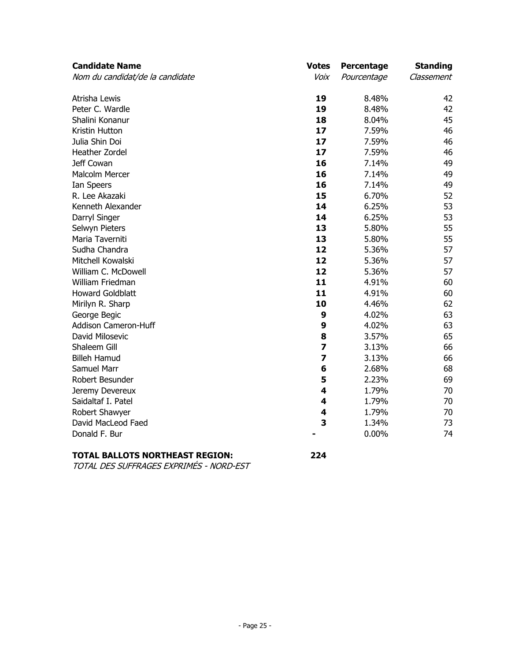| <b>Candidate Name</b>           | <b>Votes</b>            | Percentage  | <b>Standing</b> |
|---------------------------------|-------------------------|-------------|-----------------|
| Nom du candidat/de la candidate | Voix                    | Pourcentage | Classement      |
| Atrisha Lewis                   | 19                      | 8.48%       | 42              |
| Peter C. Wardle                 | 19                      | 8.48%       | 42              |
| Shalini Konanur                 | 18                      | 8.04%       | 45              |
| Kristin Hutton                  | 17                      | 7.59%       | 46              |
| Julia Shin Doi                  | 17                      | 7.59%       | 46              |
| Heather Zordel                  | 17                      | 7.59%       | 46              |
| Jeff Cowan                      | 16                      | 7.14%       | 49              |
| <b>Malcolm Mercer</b>           | 16                      | 7.14%       | 49              |
| Ian Speers                      | 16                      | 7.14%       | 49              |
| R. Lee Akazaki                  | 15                      | 6.70%       | 52              |
| Kenneth Alexander               | 14                      | 6.25%       | 53              |
| Darryl Singer                   | 14                      | 6.25%       | 53              |
| Selwyn Pieters                  | 13                      | 5.80%       | 55              |
| Maria Taverniti                 | 13                      | 5.80%       | 55              |
| Sudha Chandra                   | 12                      | 5.36%       | 57              |
| Mitchell Kowalski               | 12                      | 5.36%       | 57              |
| William C. McDowell             | 12                      | 5.36%       | 57              |
| William Friedman                | 11                      | 4.91%       | 60              |
| <b>Howard Goldblatt</b>         | 11                      | 4.91%       | 60              |
| Mirilyn R. Sharp                | 10                      | 4.46%       | 62              |
| George Begic                    | 9                       | 4.02%       | 63              |
| Addison Cameron-Huff            | 9                       | 4.02%       | 63              |
| David Milosevic                 | 8                       | 3.57%       | 65              |
| Shaleem Gill                    | $\overline{\mathbf{z}}$ | 3.13%       | 66              |
| <b>Billeh Hamud</b>             | $\overline{\mathbf{z}}$ | 3.13%       | 66              |
| Samuel Marr                     | 6                       | 2.68%       | 68              |
| Robert Besunder                 | 5                       | 2.23%       | 69              |
| Jeremy Devereux                 | 4                       | 1.79%       | 70              |
| Saidaltaf I. Patel              | 4                       | 1.79%       | 70              |
| Robert Shawyer                  | 4                       | 1.79%       | 70              |
| David MacLeod Faed              | 3                       | 1.34%       | 73              |
| Donald F. Bur                   |                         | 0.00%       | 74              |

# **TOTAL BALLOTS NORTHEAST REGION: 224**

TOTAL DES SUFFRAGES EXPRIMÉS - NORD-EST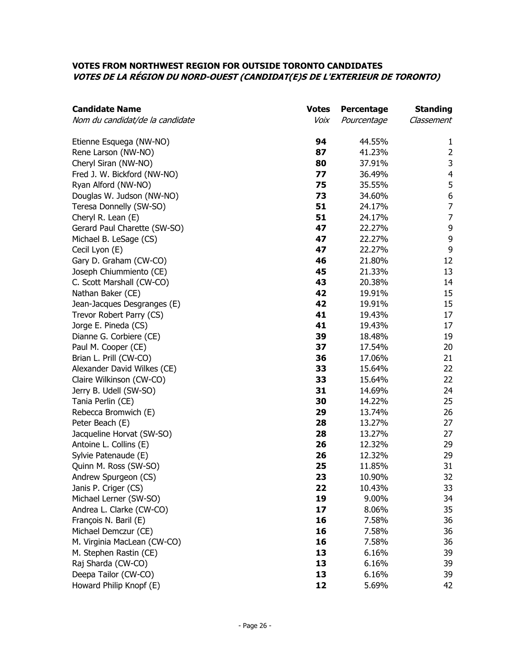## **VOTES FROM NORTHWEST REGION FOR OUTSIDE TORONTO CANDIDATES VOTES DE LA RÉGION DU NORD-OUEST (CANDIDAT(E)S DE L'EXTERIEUR DE TORONTO)**

| <b>Candidate Name</b>           | <b>Votes</b> | Percentage  | <b>Standing</b>  |
|---------------------------------|--------------|-------------|------------------|
| Nom du candidat/de la candidate | Voix         | Pourcentage | Classement       |
| Etienne Esquega (NW-NO)         | 94           | 44.55%      | $\mathbf{1}$     |
| Rene Larson (NW-NO)             | 87           | 41.23%      | $\overline{2}$   |
| Cheryl Siran (NW-NO)            | 80           | 37.91%      | $\mathsf 3$      |
| Fred J. W. Bickford (NW-NO)     | 77           | 36.49%      | $\overline{4}$   |
| Ryan Alford (NW-NO)             | 75           | 35.55%      | 5                |
| Douglas W. Judson (NW-NO)       | 73           | 34.60%      | $\boldsymbol{6}$ |
| Teresa Donnelly (SW-SO)         | 51           | 24.17%      | $\boldsymbol{7}$ |
| Cheryl R. Lean (E)              | 51           | 24.17%      | $\boldsymbol{7}$ |
| Gerard Paul Charette (SW-SO)    | 47           | 22.27%      | 9                |
| Michael B. LeSage (CS)          | 47           | 22.27%      | 9                |
| Cecil Lyon (E)                  | 47           | 22.27%      | 9                |
| Gary D. Graham (CW-CO)          | 46           | 21.80%      | 12               |
| Joseph Chiummiento (CE)         | 45           | 21.33%      | 13               |
| C. Scott Marshall (CW-CO)       | 43           | 20.38%      | 14               |
| Nathan Baker (CE)               | 42           | 19.91%      | 15               |
| Jean-Jacques Desgranges (E)     | 42           | 19.91%      | 15               |
| Trevor Robert Parry (CS)        | 41           | 19.43%      | 17               |
| Jorge E. Pineda (CS)            | 41           | 19.43%      | 17               |
| Dianne G. Corbiere (CE)         | 39           | 18.48%      | 19               |
| Paul M. Cooper (CE)             | 37           | 17.54%      | 20               |
| Brian L. Prill (CW-CO)          | 36           | 17.06%      | 21               |
| Alexander David Wilkes (CE)     | 33           | 15.64%      | 22               |
| Claire Wilkinson (CW-CO)        | 33           | 15.64%      | 22               |
| Jerry B. Udell (SW-SO)          | 31           | 14.69%      | 24               |
| Tania Perlin (CE)               | 30           | 14.22%      | 25               |
| Rebecca Bromwich (E)            | 29           | 13.74%      | 26               |
| Peter Beach (E)                 | 28           | 13.27%      | 27               |
| Jacqueline Horvat (SW-SO)       | 28           | 13.27%      | 27               |
| Antoine L. Collins (E)          | 26           | 12.32%      | 29               |
| Sylvie Patenaude (E)            | 26           | 12.32%      | 29               |
| Quinn M. Ross (SW-SO)           | 25           | 11.85%      | 31               |
| Andrew Spurgeon (CS)            | 23           | 10.90%      | 32               |
| Janis P. Criger (CS)            | 22           | 10.43%      | 33               |
| Michael Lerner (SW-SO)          | 19           | 9.00%       | 34               |
| Andrea L. Clarke (CW-CO)        | 17           | 8.06%       | 35               |
| François N. Baril (E)           | 16           | 7.58%       | 36               |
| Michael Demczur (CE)            | 16           | 7.58%       | 36               |
| M. Virginia MacLean (CW-CO)     | 16           | 7.58%       | 36               |
| M. Stephen Rastin (CE)          | 13           | 6.16%       | 39               |
| Raj Sharda (CW-CO)              | 13           | 6.16%       | 39               |
| Deepa Tailor (CW-CO)            | 13           | 6.16%       | 39               |
| Howard Philip Knopf (E)         | 12           | 5.69%       | 42               |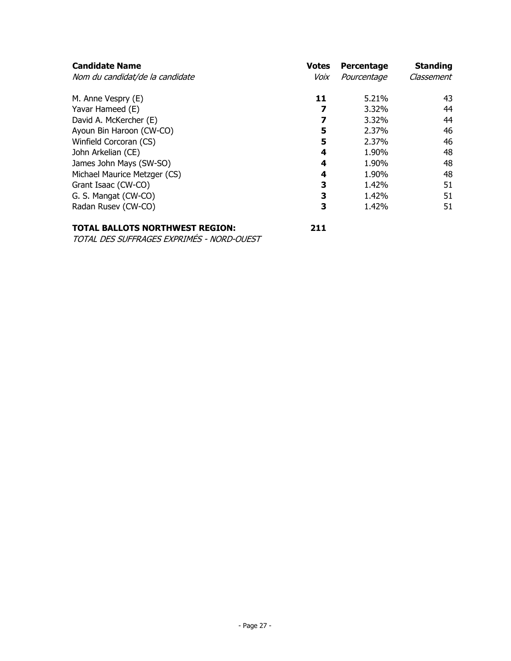| <b>Candidate Name</b><br>Nom du candidat/de la candidate | <b>Votes</b><br>Voix | Percentage<br>Pourcentage | <b>Standing</b><br>Classement |
|----------------------------------------------------------|----------------------|---------------------------|-------------------------------|
| M. Anne Vespry (E)                                       | 11                   | 5.21%                     | 43                            |
| Yavar Hameed (E)                                         | 7                    | 3.32%                     | 44                            |
| David A. McKercher (E)                                   | 7                    | 3.32%                     | 44                            |
| Ayoun Bin Haroon (CW-CO)                                 | 5                    | 2.37%                     | 46                            |
| Winfield Corcoran (CS)                                   | 5                    | 2.37%                     | 46                            |
| John Arkelian (CE)                                       | 4                    | 1.90%                     | 48                            |
| James John Mays (SW-SO)                                  | 4                    | 1.90%                     | 48                            |
| Michael Maurice Metzger (CS)                             | 4                    | 1.90%                     | 48                            |
| Grant Isaac (CW-CO)                                      | 3                    | 1.42%                     | 51                            |
| G. S. Mangat (CW-CO)                                     | 3                    | 1.42%                     | 51                            |
| Radan Rusev (CW-CO)                                      | 3                    | 1.42%                     | 51                            |

## **TOTAL BALLOTS NORTHWEST REGION: 211**

TOTAL DES SUFFRAGES EXPRIMÉS - NORD-OUEST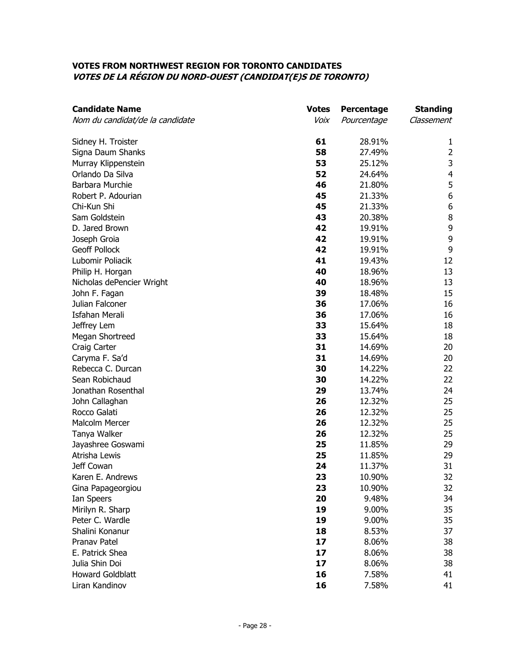#### **VOTES FROM NORTHWEST REGION FOR TORONTO CANDIDATES VOTES DE LA RÉGION DU NORD-OUEST (CANDIDAT(E)S DE TORONTO)**

| <b>Candidate Name</b>           | <b>Votes</b> | Percentage  | <b>Standing</b>         |
|---------------------------------|--------------|-------------|-------------------------|
| Nom du candidat/de la candidate | Voix         | Pourcentage | Classement              |
| Sidney H. Troister              | 61           | 28.91%      | 1                       |
| Signa Daum Shanks               | 58           | 27.49%      | $\overline{2}$          |
| Murray Klippenstein             | 53           | 25.12%      | 3                       |
| Orlando Da Silva                | 52           | 24.64%      | $\overline{\mathbf{4}}$ |
| Barbara Murchie                 | 46           | 21.80%      | 5                       |
| Robert P. Adourian              | 45           | 21.33%      | 6                       |
| Chi-Kun Shi                     | 45           | 21.33%      | $\boldsymbol{6}$        |
| Sam Goldstein                   | 43           | 20.38%      | $\, 8$                  |
| D. Jared Brown                  | 42           | 19.91%      | 9                       |
| Joseph Groia                    | 42           | 19.91%      | 9                       |
| <b>Geoff Pollock</b>            | 42           | 19.91%      | 9                       |
| Lubomir Poliacik                | 41           | 19.43%      | 12                      |
| Philip H. Horgan                | 40           | 18.96%      | 13                      |
| Nicholas dePencier Wright       | 40           | 18.96%      | 13                      |
| John F. Fagan                   | 39           | 18.48%      | 15                      |
| Julian Falconer                 | 36           | 17.06%      | 16                      |
| <b>Isfahan Merali</b>           | 36           | 17.06%      | 16                      |
| Jeffrey Lem                     | 33           | 15.64%      | 18                      |
| Megan Shortreed                 | 33           | 15.64%      | 18                      |
| Craig Carter                    | 31           | 14.69%      | 20                      |
| Caryma F. Sa'd                  | 31           | 14.69%      | 20                      |
| Rebecca C. Durcan               | 30           | 14.22%      | 22                      |
| Sean Robichaud                  | 30           | 14.22%      | 22                      |
| Jonathan Rosenthal              | 29           | 13.74%      | 24                      |
| John Callaghan                  | 26           | 12.32%      | 25                      |
| Rocco Galati                    | 26           | 12.32%      | 25                      |
| <b>Malcolm Mercer</b>           | 26           | 12.32%      | 25                      |
| Tanya Walker                    | 26           | 12.32%      | 25                      |
| Jayashree Goswami               | 25           | 11.85%      | 29                      |
| Atrisha Lewis                   | 25           | 11.85%      | 29                      |
| Jeff Cowan                      | 24           | 11.37%      | 31                      |
| Karen E. Andrews                | 23           | 10.90%      | 32                      |
| Gina Papageorgiou               | 23           | 10.90%      | 32                      |
| Ian Speers                      | 20           | 9.48%       | 34                      |
| Mirilyn R. Sharp                | 19           | 9.00%       | 35                      |
| Peter C. Wardle                 | 19           | 9.00%       | 35                      |
| Shalini Konanur                 | 18           | 8.53%       | 37                      |
| Pranav Patel                    | 17           | 8.06%       | 38                      |
| E. Patrick Shea                 | 17           | 8.06%       | 38                      |
| Julia Shin Doi                  | 17           | 8.06%       | 38                      |
| <b>Howard Goldblatt</b>         | 16           | 7.58%       | 41                      |
| Liran Kandinov                  | 16           | 7.58%       | 41                      |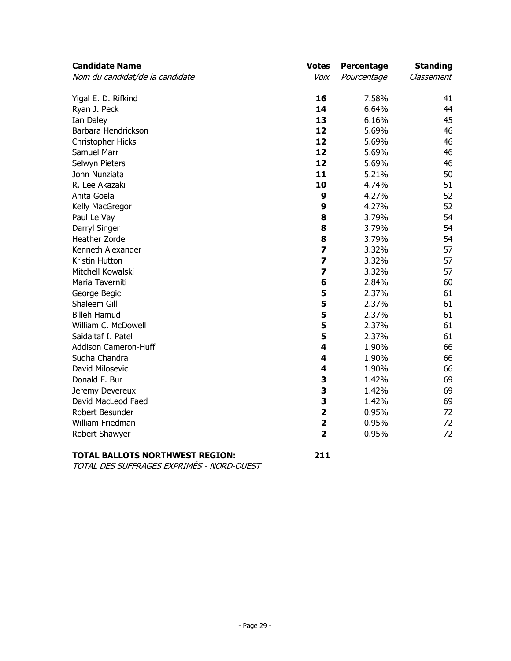| <b>Candidate Name</b>           | <b>Votes</b>            | Percentage  | <b>Standing</b> |
|---------------------------------|-------------------------|-------------|-----------------|
| Nom du candidat/de la candidate | Voix                    | Pourcentage | Classement      |
| Yigal E. D. Rifkind             | 16                      | 7.58%       | 41              |
| Ryan J. Peck                    | 14                      | 6.64%       | 44              |
| Ian Daley                       | 13                      | 6.16%       | 45              |
| Barbara Hendrickson             | 12                      | 5.69%       | 46              |
| Christopher Hicks               | 12                      | 5.69%       | 46              |
| Samuel Marr                     | 12                      | 5.69%       | 46              |
| Selwyn Pieters                  | 12                      | 5.69%       | 46              |
| John Nunziata                   | 11                      | 5.21%       | 50              |
| R. Lee Akazaki                  | 10                      | 4.74%       | 51              |
| Anita Goela                     | 9                       | 4.27%       | 52              |
| Kelly MacGregor                 | 9                       | 4.27%       | 52              |
| Paul Le Vay                     | 8                       | 3.79%       | 54              |
| Darryl Singer                   | 8                       | 3.79%       | 54              |
| Heather Zordel                  | 8                       | 3.79%       | 54              |
| Kenneth Alexander               | $\overline{\mathbf{z}}$ | 3.32%       | 57              |
| Kristin Hutton                  | $\overline{\mathbf{z}}$ | 3.32%       | 57              |
| Mitchell Kowalski               | 7                       | 3.32%       | 57              |
| Maria Taverniti                 | 6                       | 2.84%       | 60              |
| George Begic                    | 5                       | 2.37%       | 61              |
| Shaleem Gill                    | 5                       | 2.37%       | 61              |
| <b>Billeh Hamud</b>             | 5                       | 2.37%       | 61              |
| William C. McDowell             | 5                       | 2.37%       | 61              |
| Saidaltaf I. Patel              | 5                       | 2.37%       | 61              |
| <b>Addison Cameron-Huff</b>     | 4                       | 1.90%       | 66              |
| Sudha Chandra                   | 4                       | 1.90%       | 66              |
| David Milosevic                 | 4                       | 1.90%       | 66              |
| Donald F. Bur                   | 3                       | 1.42%       | 69              |
| Jeremy Devereux                 | 3                       | 1.42%       | 69              |
| David MacLeod Faed              | 3                       | 1.42%       | 69              |
| Robert Besunder                 | $\overline{\mathbf{2}}$ | 0.95%       | 72              |
| William Friedman                | $\overline{\mathbf{2}}$ | 0.95%       | 72              |
| Robert Shawyer                  | $\overline{\mathbf{2}}$ | 0.95%       | 72              |

# **TOTAL BALLOTS NORTHWEST REGION: 211**

TOTAL DES SUFFRAGES EXPRIMÉS - NORD-OUEST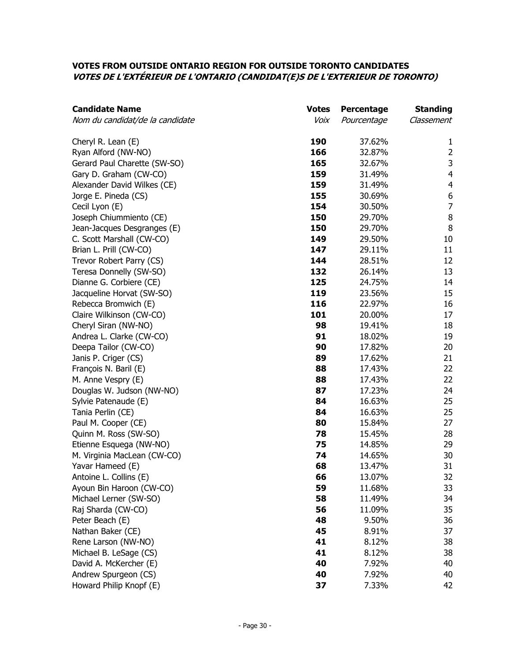## **VOTES FROM OUTSIDE ONTARIO REGION FOR OUTSIDE TORONTO CANDIDATES VOTES DE L'EXTÉRIEUR DE L'ONTARIO (CANDIDAT(E)S DE L'EXTERIEUR DE TORONTO)**

| <b>Candidate Name</b>           | <b>Votes</b> | <b>Percentage</b> | <b>Standing</b> |
|---------------------------------|--------------|-------------------|-----------------|
| Nom du candidat/de la candidate | Voix         | Pourcentage       | Classement      |
| Cheryl R. Lean (E)              | 190          | 37.62%            | 1               |
| Ryan Alford (NW-NO)             | 166          | 32.87%            | $\overline{2}$  |
| Gerard Paul Charette (SW-SO)    | 165          | 32.67%            | $\mathsf 3$     |
| Gary D. Graham (CW-CO)          | 159          | 31.49%            | $\overline{4}$  |
| Alexander David Wilkes (CE)     | 159          | 31.49%            | $\overline{4}$  |
| Jorge E. Pineda (CS)            | 155          | 30.69%            | 6               |
| Cecil Lyon (E)                  | 154          | 30.50%            | $\overline{7}$  |
| Joseph Chiummiento (CE)         | 150          | 29.70%            | $\, 8$          |
| Jean-Jacques Desgranges (E)     | 150          | 29.70%            | 8               |
| C. Scott Marshall (CW-CO)       | 149          | 29.50%            | 10              |
| Brian L. Prill (CW-CO)          | 147          | 29.11%            | 11              |
| Trevor Robert Parry (CS)        | 144          | 28.51%            | 12              |
| Teresa Donnelly (SW-SO)         | 132          | 26.14%            | 13              |
| Dianne G. Corbiere (CE)         | 125          | 24.75%            | 14              |
| Jacqueline Horvat (SW-SO)       | 119          | 23.56%            | 15              |
| Rebecca Bromwich (E)            | 116          | 22.97%            | 16              |
| Claire Wilkinson (CW-CO)        | 101          | 20.00%            | 17              |
| Cheryl Siran (NW-NO)            | 98           | 19.41%            | 18              |
| Andrea L. Clarke (CW-CO)        | 91           | 18.02%            | 19              |
| Deepa Tailor (CW-CO)            | 90           | 17.82%            | 20              |
| Janis P. Criger (CS)            | 89           | 17.62%            | 21              |
| François N. Baril (E)           | 88           | 17.43%            | 22              |
| M. Anne Vespry (E)              | 88           | 17.43%            | 22              |
| Douglas W. Judson (NW-NO)       | 87           | 17.23%            | 24              |
| Sylvie Patenaude (E)            | 84           | 16.63%            | 25              |
| Tania Perlin (CE)               | 84           | 16.63%            | 25              |
| Paul M. Cooper (CE)             | 80           | 15.84%            | 27              |
| Quinn M. Ross (SW-SO)           | 78           | 15.45%            | 28              |
| Etienne Esquega (NW-NO)         | 75           | 14.85%            | 29              |
| M. Virginia MacLean (CW-CO)     | 74           | 14.65%            | 30              |
| Yavar Hameed (E)                | 68           | 13.47%            | 31              |
| Antoine L. Collins (E)          | 66           | 13.07%            | 32              |
| Ayoun Bin Haroon (CW-CO)        | 59           | 11.68%            | 33              |
| Michael Lerner (SW-SO)          | 58           | 11.49%            | 34              |
| Raj Sharda (CW-CO)              | 56           | 11.09%            | 35              |
| Peter Beach (E)                 | 48           | 9.50%             | 36              |
| Nathan Baker (CE)               | 45           | 8.91%             | 37              |
| Rene Larson (NW-NO)             | 41           | 8.12%             | 38              |
| Michael B. LeSage (CS)          | 41           | 8.12%             | 38              |
| David A. McKercher (E)          | 40           | 7.92%             | 40              |
| Andrew Spurgeon (CS)            | 40           | 7.92%             | 40              |
| Howard Philip Knopf (E)         | 37           | 7.33%             | 42              |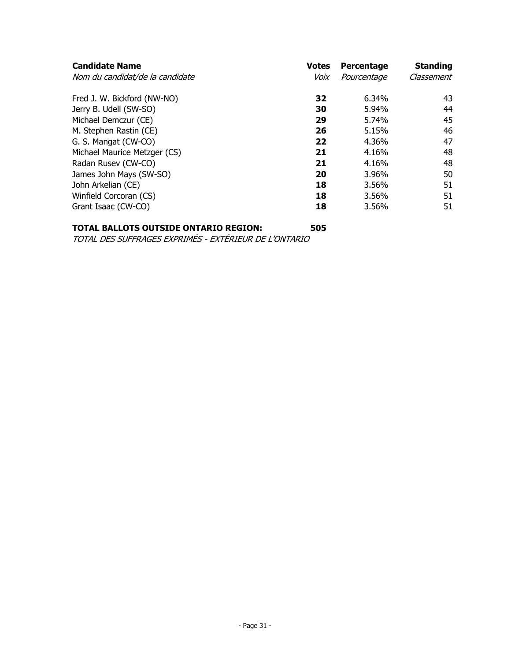| <b>Votes</b> | Percentage  | <b>Standing</b> |
|--------------|-------------|-----------------|
| Voix         | Pourcentage | Classement      |
| 32           | 6.34%       | 43              |
| 30           | 5.94%       | 44              |
| 29           | 5.74%       | 45              |
| 26           | 5.15%       | 46              |
| 22           | 4.36%       | 47              |
| 21           | 4.16%       | 48              |
| 21           | 4.16%       | 48              |
| 20           | 3.96%       | 50              |
| 18           | 3.56%       | 51              |
| 18           | 3.56%       | 51              |
| 18           | 3.56%       | 51              |
|              |             |                 |

## **TOTAL BALLOTS OUTSIDE ONTARIO REGION: 505**

TOTAL DES SUFFRAGES EXPRIMÉS - EXTÉRIEUR DE L'ONTARIO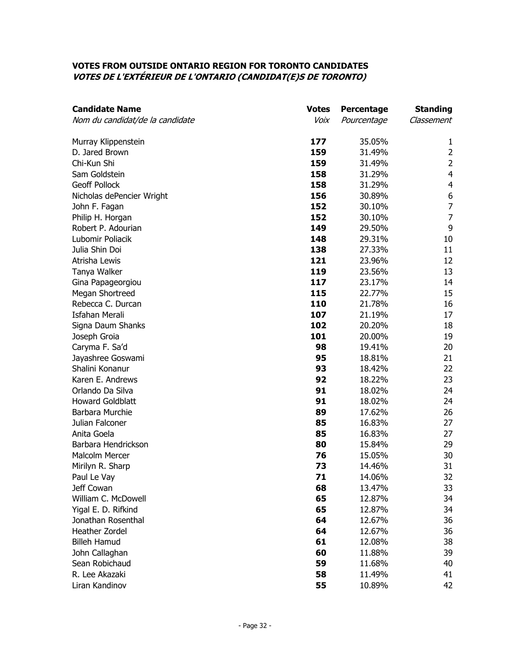## **VOTES FROM OUTSIDE ONTARIO REGION FOR TORONTO CANDIDATES VOTES DE L'EXTÉRIEUR DE L'ONTARIO (CANDIDAT(E)S DE TORONTO)**

| <b>Candidate Name</b>           | <b>Votes</b> | Percentage  | <b>Standing</b> |
|---------------------------------|--------------|-------------|-----------------|
| Nom du candidat/de la candidate | Voix         | Pourcentage | Classement      |
| Murray Klippenstein             | 177          | 35.05%      | 1               |
| D. Jared Brown                  | 159          | 31.49%      | $\overline{2}$  |
| Chi-Kun Shi                     | 159          | 31.49%      | $\overline{2}$  |
| Sam Goldstein                   | 158          | 31.29%      | $\overline{4}$  |
| <b>Geoff Pollock</b>            | 158          | 31.29%      | $\overline{4}$  |
| Nicholas dePencier Wright       | 156          | 30.89%      | 6               |
| John F. Fagan                   | 152          | 30.10%      | $\overline{7}$  |
| Philip H. Horgan                | 152          | 30.10%      | $\overline{7}$  |
| Robert P. Adourian              | 149          | 29.50%      | 9               |
| Lubomir Poliacik                | 148          | 29.31%      | 10              |
| Julia Shin Doi                  | 138          | 27.33%      | 11              |
| Atrisha Lewis                   | 121          | 23.96%      | 12              |
| Tanya Walker                    | 119          | 23.56%      | 13              |
| Gina Papageorgiou               | 117          | 23.17%      | 14              |
| Megan Shortreed                 | 115          | 22.77%      | 15              |
| Rebecca C. Durcan               | 110          | 21.78%      | 16              |
| <b>Isfahan Merali</b>           | 107          | 21.19%      | 17              |
| Signa Daum Shanks               | 102          | 20.20%      | 18              |
| Joseph Groia                    | 101          | 20.00%      | 19              |
| Caryma F. Sa'd                  | 98           | 19.41%      | 20              |
| Jayashree Goswami               | 95           | 18.81%      | 21              |
| Shalini Konanur                 | 93           | 18.42%      | 22              |
| Karen E. Andrews                | 92           | 18.22%      | 23              |
| Orlando Da Silva                | 91           | 18.02%      | 24              |
| <b>Howard Goldblatt</b>         | 91           | 18.02%      | 24              |
| Barbara Murchie                 | 89           | 17.62%      | 26              |
| Julian Falconer                 | 85           | 16.83%      | 27              |
| Anita Goela                     | 85           | 16.83%      | 27              |
| Barbara Hendrickson             | 80           | 15.84%      | 29              |
| <b>Malcolm Mercer</b>           | 76           | 15.05%      | 30              |
| Mirilyn R. Sharp                | 73           | 14.46%      | 31              |
| Paul Le Vay                     | 71           | 14.06%      | 32              |
| Jeff Cowan                      | 68           | 13.47%      | 33              |
| William C. McDowell             | 65           | 12.87%      | 34              |
| Yigal E. D. Rifkind             | 65           | 12.87%      | 34              |
| Jonathan Rosenthal              | 64           | 12.67%      | 36              |
| Heather Zordel                  | 64           | 12.67%      | 36              |
| <b>Billeh Hamud</b>             | 61           | 12.08%      | 38              |
| John Callaghan                  | 60           | 11.88%      | 39              |
| Sean Robichaud                  | 59           | 11.68%      | 40              |
| R. Lee Akazaki                  | 58           | 11.49%      | 41              |
| Liran Kandinov                  | 55           | 10.89%      | 42              |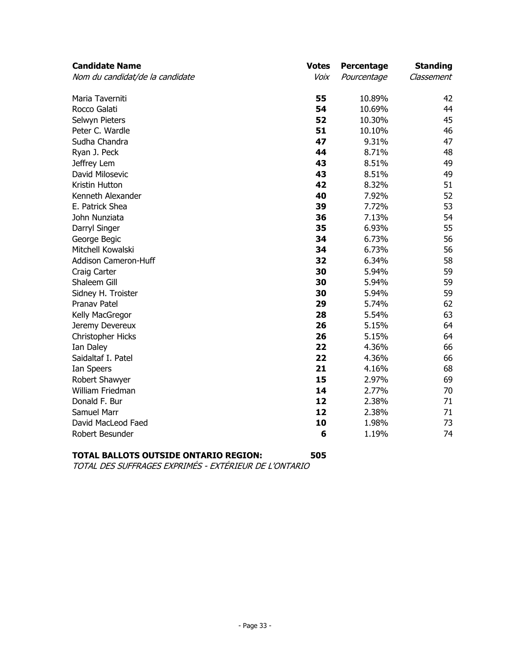| <b>Candidate Name</b>           | <b>Votes</b> | Percentage  | <b>Standing</b> |
|---------------------------------|--------------|-------------|-----------------|
| Nom du candidat/de la candidate | Voix         | Pourcentage | Classement      |
| Maria Taverniti                 | 55           | 10.89%      | 42              |
| Rocco Galati                    | 54           | 10.69%      | 44              |
| Selwyn Pieters                  | 52           | 10.30%      | 45              |
| Peter C. Wardle                 | 51           | 10.10%      | 46              |
| Sudha Chandra                   | 47           | 9.31%       | 47              |
| Ryan J. Peck                    | 44           | 8.71%       | 48              |
| Jeffrey Lem                     | 43           | 8.51%       | 49              |
| David Milosevic                 | 43           | 8.51%       | 49              |
| Kristin Hutton                  | 42           | 8.32%       | 51              |
| Kenneth Alexander               | 40           | 7.92%       | 52              |
| E. Patrick Shea                 | 39           | 7.72%       | 53              |
| John Nunziata                   | 36           | 7.13%       | 54              |
| Darryl Singer                   | 35           | 6.93%       | 55              |
| George Begic                    | 34           | 6.73%       | 56              |
| Mitchell Kowalski               | 34           | 6.73%       | 56              |
| Addison Cameron-Huff            | 32           | 6.34%       | 58              |
| Craig Carter                    | 30           | 5.94%       | 59              |
| Shaleem Gill                    | 30           | 5.94%       | 59              |
| Sidney H. Troister              | 30           | 5.94%       | 59              |
| <b>Pranav Patel</b>             | 29           | 5.74%       | 62              |
| Kelly MacGregor                 | 28           | 5.54%       | 63              |
| Jeremy Devereux                 | 26           | 5.15%       | 64              |
| Christopher Hicks               | 26           | 5.15%       | 64              |
| Ian Daley                       | 22           | 4.36%       | 66              |
| Saidaltaf I. Patel              | 22           | 4.36%       | 66              |
| Ian Speers                      | 21           | 4.16%       | 68              |
| Robert Shawyer                  | 15           | 2.97%       | 69              |
| William Friedman                | 14           | 2.77%       | 70              |
| Donald F. Bur                   | 12           | 2.38%       | 71              |
| Samuel Marr                     | 12           | 2.38%       | 71              |
| David MacLeod Faed              | 10           | 1.98%       | 73              |
| Robert Besunder                 | 6            | 1.19%       | 74              |
|                                 |              |             |                 |

# **TOTAL BALLOTS OUTSIDE ONTARIO REGION: 505**

TOTAL DES SUFFRAGES EXPRIMÉS - EXTÉRIEUR DE L'ONTARIO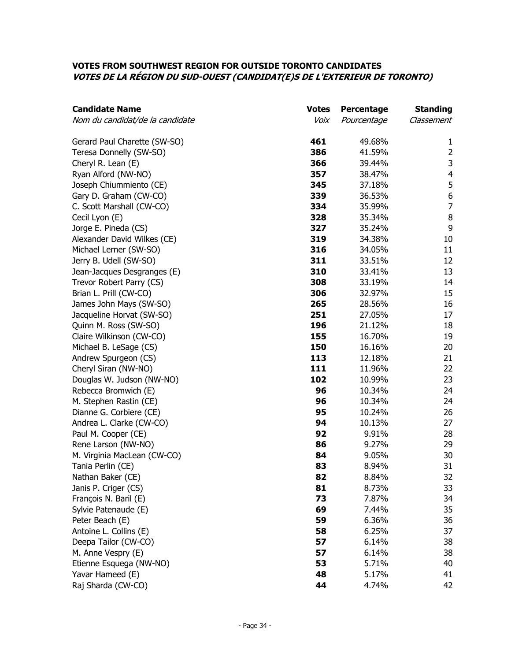## **VOTES FROM SOUTHWEST REGION FOR OUTSIDE TORONTO CANDIDATES VOTES DE LA RÉGION DU SUD-OUEST (CANDIDAT(E)S DE L'EXTERIEUR DE TORONTO)**

| <b>Candidate Name</b>           | <b>Votes</b> | Percentage  | <b>Standing</b>         |
|---------------------------------|--------------|-------------|-------------------------|
| Nom du candidat/de la candidate | Voix         | Pourcentage | Classement              |
| Gerard Paul Charette (SW-SO)    | 461          | 49.68%      | 1                       |
| Teresa Donnelly (SW-SO)         | 386          | 41.59%      | $\overline{2}$          |
| Cheryl R. Lean (E)              | 366          | 39.44%      | 3                       |
| Ryan Alford (NW-NO)             | 357          | 38.47%      | $\overline{\mathbf{4}}$ |
| Joseph Chiummiento (CE)         | 345          | 37.18%      | 5                       |
| Gary D. Graham (CW-CO)          | 339          | 36.53%      | $\boldsymbol{6}$        |
| C. Scott Marshall (CW-CO)       | 334          | 35.99%      | $\overline{7}$          |
| Cecil Lyon (E)                  | 328          | 35.34%      | $\, 8$                  |
| Jorge E. Pineda (CS)            | 327          | 35.24%      | 9                       |
| Alexander David Wilkes (CE)     | 319          | 34.38%      | 10                      |
| Michael Lerner (SW-SO)          | 316          | 34.05%      | 11                      |
| Jerry B. Udell (SW-SO)          | 311          | 33.51%      | 12                      |
| Jean-Jacques Desgranges (E)     | 310          | 33.41%      | 13                      |
| Trevor Robert Parry (CS)        | 308          | 33.19%      | 14                      |
| Brian L. Prill (CW-CO)          | 306          | 32.97%      | 15                      |
| James John Mays (SW-SO)         | 265          | 28.56%      | 16                      |
| Jacqueline Horvat (SW-SO)       | 251          | 27.05%      | 17                      |
| Quinn M. Ross (SW-SO)           | 196          | 21.12%      | 18                      |
| Claire Wilkinson (CW-CO)        | 155          | 16.70%      | 19                      |
| Michael B. LeSage (CS)          | 150          | 16.16%      | 20                      |
| Andrew Spurgeon (CS)            | 113          | 12.18%      | 21                      |
| Cheryl Siran (NW-NO)            | 111          | 11.96%      | 22                      |
| Douglas W. Judson (NW-NO)       | 102          | 10.99%      | 23                      |
| Rebecca Bromwich (E)            | 96           | 10.34%      | 24                      |
| M. Stephen Rastin (CE)          | 96           | 10.34%      | 24                      |
| Dianne G. Corbiere (CE)         | 95           | 10.24%      | 26                      |
| Andrea L. Clarke (CW-CO)        | 94           | 10.13%      | 27                      |
| Paul M. Cooper (CE)             | 92           | 9.91%       | 28                      |
| Rene Larson (NW-NO)             | 86           | 9.27%       | 29                      |
| M. Virginia MacLean (CW-CO)     | 84           | 9.05%       | 30                      |
| Tania Perlin (CE)               | 83           | 8.94%       | 31                      |
| Nathan Baker (CE)               | 82           | 8.84%       | 32                      |
| Janis P. Criger (CS)            | 81           | 8.73%       | 33                      |
| François N. Baril (E)           | 73           | 7.87%       | 34                      |
| Sylvie Patenaude (E)            | 69           | 7.44%       | 35                      |
| Peter Beach (E)                 | 59           | 6.36%       | 36                      |
| Antoine L. Collins (E)          | 58           | 6.25%       | 37                      |
| Deepa Tailor (CW-CO)            | 57           | 6.14%       | 38                      |
| M. Anne Vespry (E)              | 57           | 6.14%       | 38                      |
| Etienne Esquega (NW-NO)         | 53           | 5.71%       | 40                      |
| Yavar Hameed (E)                | 48           | 5.17%       | 41                      |
| Raj Sharda (CW-CO)              | 44           | 4.74%       | 42                      |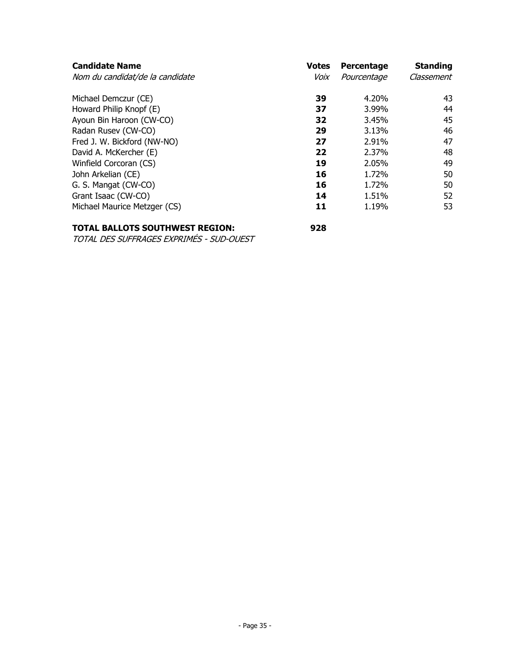| <b>Candidate Name</b><br>Nom du candidat/de la candidate | <b>Votes</b><br>Voix | Percentage<br>Pourcentage | <b>Standing</b><br>Classement |
|----------------------------------------------------------|----------------------|---------------------------|-------------------------------|
| Michael Demczur (CE)                                     | 39                   | 4.20%                     | 43                            |
| Howard Philip Knopf (E)                                  | 37                   | 3.99%                     | 44                            |
| Ayoun Bin Haroon (CW-CO)                                 | 32                   | 3.45%                     | 45                            |
| Radan Rusev (CW-CO)                                      | 29                   | 3.13%                     | 46                            |
| Fred J. W. Bickford (NW-NO)                              | 27                   | 2.91%                     | 47                            |
| David A. McKercher (E)                                   | 22                   | 2.37%                     | 48                            |
| Winfield Corcoran (CS)                                   | 19                   | 2.05%                     | 49                            |
| John Arkelian (CE)                                       | 16                   | 1.72%                     | 50                            |
| G. S. Mangat (CW-CO)                                     | 16                   | 1.72%                     | 50                            |
| Grant Isaac (CW-CO)                                      | 14                   | 1.51%                     | 52                            |
| Michael Maurice Metzger (CS)                             | 11                   | 1.19%                     | 53                            |

## **TOTAL BALLOTS SOUTHWEST REGION: 928**

TOTAL DES SUFFRAGES EXPRIMÉS - SUD-OUEST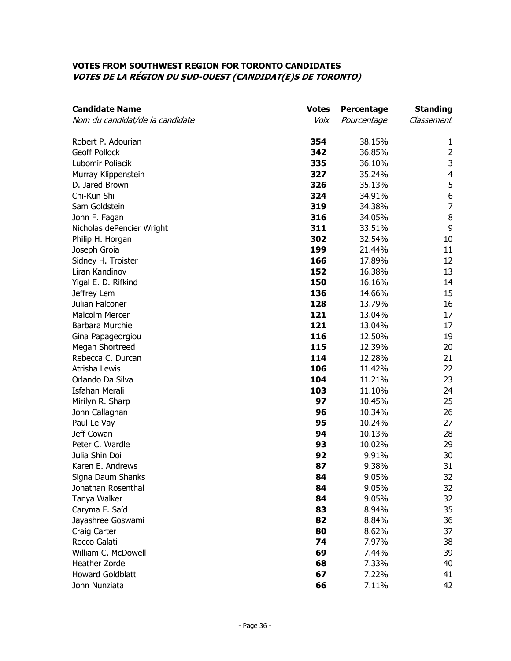#### **VOTES FROM SOUTHWEST REGION FOR TORONTO CANDIDATES VOTES DE LA RÉGION DU SUD-OUEST (CANDIDAT(E)S DE TORONTO)**

| <b>Candidate Name</b>           | <b>Votes</b> | Percentage  | <b>Standing</b>  |
|---------------------------------|--------------|-------------|------------------|
| Nom du candidat/de la candidate | Voix         | Pourcentage | Classement       |
| Robert P. Adourian              | 354          | 38.15%      | 1                |
| <b>Geoff Pollock</b>            | 342          | 36.85%      | $\overline{2}$   |
| Lubomir Poliacik                | 335          | 36.10%      | $\mathsf{3}$     |
| Murray Klippenstein             | 327          | 35.24%      | $\overline{4}$   |
| D. Jared Brown                  | 326          | 35.13%      | 5                |
| Chi-Kun Shi                     | 324          | 34.91%      | $\boldsymbol{6}$ |
| Sam Goldstein                   | 319          | 34.38%      | $\overline{7}$   |
| John F. Fagan                   | 316          | 34.05%      | $\, 8$           |
| Nicholas dePencier Wright       | 311          | 33.51%      | 9                |
| Philip H. Horgan                | 302          | 32.54%      | 10               |
| Joseph Groia                    | 199          | 21.44%      | 11               |
| Sidney H. Troister              | 166          | 17.89%      | 12               |
| Liran Kandinov                  | 152          | 16.38%      | 13               |
| Yigal E. D. Rifkind             | 150          | 16.16%      | 14               |
| Jeffrey Lem                     | 136          | 14.66%      | 15               |
| Julian Falconer                 | 128          | 13.79%      | 16               |
| <b>Malcolm Mercer</b>           | 121          | 13.04%      | 17               |
| Barbara Murchie                 | 121          | 13.04%      | 17               |
| Gina Papageorgiou               | 116          | 12.50%      | 19               |
| Megan Shortreed                 | 115          | 12.39%      | 20               |
| Rebecca C. Durcan               | 114          | 12.28%      | 21               |
| Atrisha Lewis                   | 106          | 11.42%      | 22               |
| Orlando Da Silva                | 104          | 11.21%      | 23               |
| <b>Isfahan Merali</b>           | 103          | 11.10%      | 24               |
| Mirilyn R. Sharp                | 97           | 10.45%      | 25               |
| John Callaghan                  | 96           | 10.34%      | 26               |
| Paul Le Vay                     | 95           | 10.24%      | 27               |
| Jeff Cowan                      | 94           | 10.13%      | 28               |
| Peter C. Wardle                 | 93           | 10.02%      | 29               |
| Julia Shin Doi                  | 92           | 9.91%       | 30               |
| Karen E. Andrews                | 87           | 9.38%       | 31               |
| Signa Daum Shanks               | 84           | 9.05%       | 32               |
| Jonathan Rosenthal              | 84           | 9.05%       | 32               |
| Tanya Walker                    | 84           | 9.05%       | 32               |
| Caryma F. Sa'd                  | 83           | 8.94%       | 35               |
| Jayashree Goswami               | 82           | 8.84%       | 36               |
| Craig Carter                    | 80           | 8.62%       | 37               |
| Rocco Galati                    | 74           | 7.97%       | 38               |
| William C. McDowell             | 69           | 7.44%       | 39               |
| Heather Zordel                  | 68           | 7.33%       | 40               |
| <b>Howard Goldblatt</b>         | 67           | 7.22%       | 41               |
| John Nunziata                   | 66           | 7.11%       | 42               |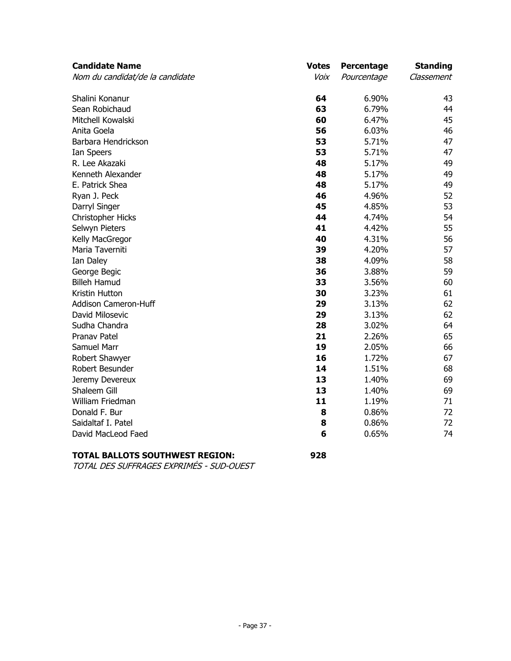| <b>Candidate Name</b>           | <b>Votes</b> | Percentage  | <b>Standing</b> |
|---------------------------------|--------------|-------------|-----------------|
| Nom du candidat/de la candidate | Voix         | Pourcentage | Classement      |
| Shalini Konanur                 | 64           | 6.90%       | 43              |
| Sean Robichaud                  | 63           | 6.79%       | 44              |
| Mitchell Kowalski               | 60           | 6.47%       | 45              |
| Anita Goela                     | 56           | 6.03%       | 46              |
| Barbara Hendrickson             | 53           | 5.71%       | 47              |
| Ian Speers                      | 53           | 5.71%       | 47              |
| R. Lee Akazaki                  | 48           | 5.17%       | 49              |
| Kenneth Alexander               | 48           | 5.17%       | 49              |
| E. Patrick Shea                 | 48           | 5.17%       | 49              |
| Ryan J. Peck                    | 46           | 4.96%       | 52              |
| Darryl Singer                   | 45           | 4.85%       | 53              |
| Christopher Hicks               | 44           | 4.74%       | 54              |
| Selwyn Pieters                  | 41           | 4.42%       | 55              |
| Kelly MacGregor                 | 40           | 4.31%       | 56              |
| Maria Taverniti                 | 39           | 4.20%       | 57              |
| Ian Daley                       | 38           | 4.09%       | 58              |
| George Begic                    | 36           | 3.88%       | 59              |
| <b>Billeh Hamud</b>             | 33           | 3.56%       | 60              |
| Kristin Hutton                  | 30           | 3.23%       | 61              |
| Addison Cameron-Huff            | 29           | 3.13%       | 62              |
| David Milosevic                 | 29           | 3.13%       | 62              |
| Sudha Chandra                   | 28           | 3.02%       | 64              |
| <b>Pranav Patel</b>             | 21           | 2.26%       | 65              |
| Samuel Marr                     | 19           | 2.05%       | 66              |
| Robert Shawyer                  | 16           | 1.72%       | 67              |
| Robert Besunder                 | 14           | 1.51%       | 68              |
| Jeremy Devereux                 | 13           | 1.40%       | 69              |
| Shaleem Gill                    | 13           | 1.40%       | 69              |
| William Friedman                | 11           | 1.19%       | 71              |
| Donald F. Bur                   | 8            | 0.86%       | 72              |
| Saidaltaf I. Patel              | 8            | 0.86%       | 72              |
| David MacLeod Faed              | 6            | 0.65%       | 74              |

# **TOTAL BALLOTS SOUTHWEST REGION: 928**

TOTAL DES SUFFRAGES EXPRIMÉS - SUD-OUEST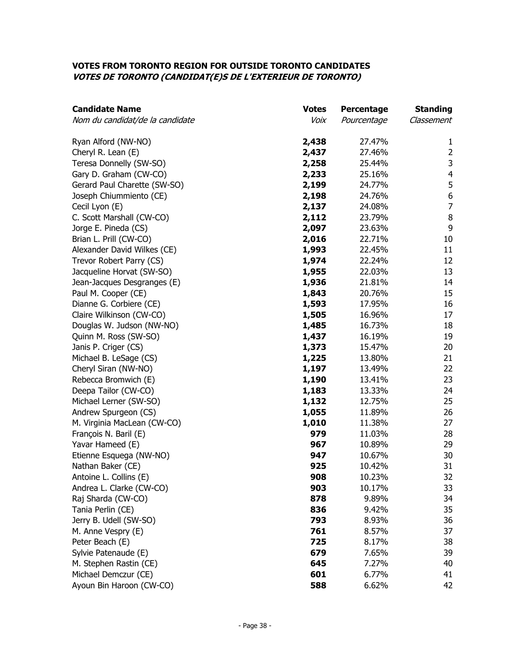#### **VOTES FROM TORONTO REGION FOR OUTSIDE TORONTO CANDIDATES VOTES DE TORONTO (CANDIDAT(E)S DE L'EXTERIEUR DE TORONTO)**

| <b>Candidate Name</b>           | <b>Votes</b> | Percentage  | <b>Standing</b>  |
|---------------------------------|--------------|-------------|------------------|
| Nom du candidat/de la candidate | Voix         | Pourcentage | Classement       |
| Ryan Alford (NW-NO)             | 2,438        | 27.47%      | 1                |
| Cheryl R. Lean (E)              | 2,437        | 27.46%      | $\overline{2}$   |
| Teresa Donnelly (SW-SO)         | 2,258        | 25.44%      | 3                |
| Gary D. Graham (CW-CO)          | 2,233        | 25.16%      | 4                |
| Gerard Paul Charette (SW-SO)    | 2,199        | 24.77%      | 5                |
| Joseph Chiummiento (CE)         | 2,198        | 24.76%      | $\boldsymbol{6}$ |
| Cecil Lyon (E)                  | 2,137        | 24.08%      | $\overline{7}$   |
| C. Scott Marshall (CW-CO)       | 2,112        | 23.79%      | $\,8\,$          |
| Jorge E. Pineda (CS)            | 2,097        | 23.63%      | 9                |
| Brian L. Prill (CW-CO)          | 2,016        | 22.71%      | 10               |
| Alexander David Wilkes (CE)     | 1,993        | 22.45%      | 11               |
| Trevor Robert Parry (CS)        | 1,974        | 22.24%      | 12               |
| Jacqueline Horvat (SW-SO)       | 1,955        | 22.03%      | 13               |
| Jean-Jacques Desgranges (E)     | 1,936        | 21.81%      | 14               |
| Paul M. Cooper (CE)             | 1,843        | 20.76%      | 15               |
| Dianne G. Corbiere (CE)         | 1,593        | 17.95%      | 16               |
| Claire Wilkinson (CW-CO)        | 1,505        | 16.96%      | 17               |
| Douglas W. Judson (NW-NO)       | 1,485        | 16.73%      | 18               |
| Quinn M. Ross (SW-SO)           | 1,437        | 16.19%      | 19               |
| Janis P. Criger (CS)            | 1,373        | 15.47%      | 20               |
| Michael B. LeSage (CS)          | 1,225        | 13.80%      | 21               |
| Cheryl Siran (NW-NO)            | 1,197        | 13.49%      | 22               |
| Rebecca Bromwich (E)            | 1,190        | 13.41%      | 23               |
| Deepa Tailor (CW-CO)            | 1,183        | 13.33%      | 24               |
| Michael Lerner (SW-SO)          | 1,132        | 12.75%      | 25               |
| Andrew Spurgeon (CS)            | 1,055        | 11.89%      | 26               |
| M. Virginia MacLean (CW-CO)     | 1,010        | 11.38%      | 27               |
| François N. Baril (E)           | 979          | 11.03%      | 28               |
| Yavar Hameed (E)                | 967          | 10.89%      | 29               |
| Etienne Esquega (NW-NO)         | 947          | 10.67%      | 30               |
| Nathan Baker (CE)               | 925          | 10.42%      | 31               |
| Antoine L. Collins (E)          | 908          | 10.23%      | 32               |
| Andrea L. Clarke (CW-CO)        | 903          | 10.17%      | 33               |
| Raj Sharda (CW-CO)              | 878          | 9.89%       | 34               |
| Tania Perlin (CE)               | 836          | 9.42%       | 35               |
| Jerry B. Udell (SW-SO)          | 793          | 8.93%       | 36               |
| M. Anne Vespry (E)              | 761          | 8.57%       | 37               |
| Peter Beach (E)                 | 725          | 8.17%       | 38               |
| Sylvie Patenaude (E)            | 679          | 7.65%       | 39               |
| M. Stephen Rastin (CE)          | 645          | 7.27%       | 40               |
| Michael Demczur (CE)            | 601          | 6.77%       | 41               |
| Ayoun Bin Haroon (CW-CO)        | 588          | 6.62%       | 42               |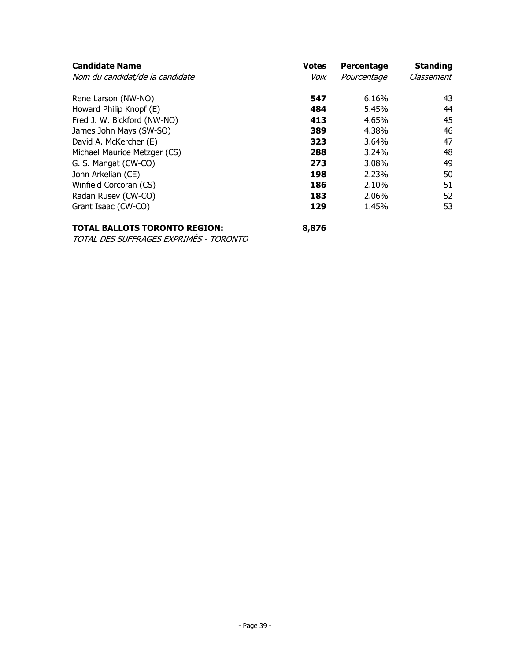| <b>Candidate Name</b>           | <b>Votes</b> | Percentage  | <b>Standing</b> |
|---------------------------------|--------------|-------------|-----------------|
| Nom du candidat/de la candidate | Voix         | Pourcentage | Classement      |
| Rene Larson (NW-NO)             | 547          | 6.16%       | 43              |
| Howard Philip Knopf (E)         | 484          | 5.45%       | 44              |
| Fred J. W. Bickford (NW-NO)     | 413          | 4.65%       | 45              |
| James John Mays (SW-SO)         | 389          | 4.38%       | 46              |
| David A. McKercher (E)          | 323          | 3.64%       | 47              |
| Michael Maurice Metzger (CS)    | 288          | 3.24%       | 48              |
| G. S. Mangat (CW-CO)            | 273          | 3.08%       | 49              |
| John Arkelian (CE)              | 198          | 2.23%       | 50              |
| Winfield Corcoran (CS)          | 186          | 2.10%       | 51              |
| Radan Rusev (CW-CO)             | 183          | 2.06%       | 52              |
| Grant Isaac (CW-CO)             | 129          | 1.45%       | 53              |

# **TOTAL BALLOTS TORONTO REGION: 8,876**

TOTAL DES SUFFRAGES EXPRIMÉS - TORONTO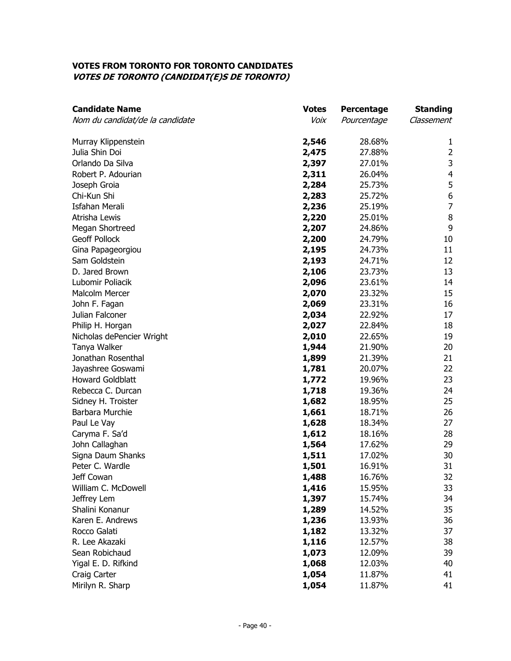#### **VOTES FROM TORONTO FOR TORONTO CANDIDATES VOTES DE TORONTO (CANDIDAT(E)S DE TORONTO)**

| <b>Candidate Name</b>           | <b>Votes</b> | <b>Percentage</b> | <b>Standing</b>         |
|---------------------------------|--------------|-------------------|-------------------------|
| Nom du candidat/de la candidate | Voix         | Pourcentage       | Classement              |
| Murray Klippenstein             | 2,546        | 28.68%            | 1                       |
| Julia Shin Doi                  | 2,475        | 27.88%            | $\overline{2}$          |
| Orlando Da Silva                | 2,397        | 27.01%            | $\mathsf 3$             |
| Robert P. Adourian              | 2,311        | 26.04%            | $\overline{\mathbf{4}}$ |
| Joseph Groia                    | 2,284        | 25.73%            | 5                       |
| Chi-Kun Shi                     | 2,283        | 25.72%            | $\boldsymbol{6}$        |
| <b>Isfahan Merali</b>           | 2,236        | 25.19%            | $\overline{7}$          |
| Atrisha Lewis                   | 2,220        | 25.01%            | $\, 8$                  |
| Megan Shortreed                 | 2,207        | 24.86%            | 9                       |
| <b>Geoff Pollock</b>            | 2,200        | 24.79%            | 10                      |
| Gina Papageorgiou               | 2,195        | 24.73%            | 11                      |
| Sam Goldstein                   | 2,193        | 24.71%            | 12                      |
| D. Jared Brown                  | 2,106        | 23.73%            | 13                      |
| Lubomir Poliacik                | 2,096        | 23.61%            | 14                      |
| Malcolm Mercer                  | 2,070        | 23.32%            | 15                      |
| John F. Fagan                   | 2,069        | 23.31%            | 16                      |
| Julian Falconer                 | 2,034        | 22.92%            | 17                      |
| Philip H. Horgan                | 2,027        | 22.84%            | 18                      |
| Nicholas dePencier Wright       | 2,010        | 22.65%            | 19                      |
| Tanya Walker                    | 1,944        | 21.90%            | 20                      |
| Jonathan Rosenthal              | 1,899        | 21.39%            | 21                      |
| Jayashree Goswami               | 1,781        | 20.07%            | 22                      |
| <b>Howard Goldblatt</b>         | 1,772        | 19.96%            | 23                      |
| Rebecca C. Durcan               | 1,718        | 19.36%            | 24                      |
| Sidney H. Troister              | 1,682        | 18.95%            | 25                      |
| Barbara Murchie                 | 1,661        | 18.71%            | 26                      |
| Paul Le Vay                     | 1,628        | 18.34%            | 27                      |
| Caryma F. Sa'd                  | 1,612        | 18.16%            | 28                      |
| John Callaghan                  | 1,564        | 17.62%            | 29                      |
| Signa Daum Shanks               | 1,511        | 17.02%            | 30                      |
| Peter C. Wardle                 | 1,501        | 16.91%            | 31                      |
| Jeff Cowan                      | 1,488        | 16.76%            | 32                      |
| William C. McDowell             | 1,416        | 15.95%            | 33                      |
| Jeffrey Lem                     | 1,397        | 15.74%            | 34                      |
| Shalini Konanur                 | 1,289        | 14.52%            | 35                      |
| Karen E. Andrews                | 1,236        | 13.93%            | 36                      |
| Rocco Galati                    | 1,182        | 13.32%            | 37                      |
| R. Lee Akazaki                  | 1,116        | 12.57%            | 38                      |
| Sean Robichaud                  | 1,073        | 12.09%            | 39                      |
| Yigal E. D. Rifkind             | 1,068        | 12.03%            | 40                      |
| Craig Carter                    | 1,054        | 11.87%            | 41                      |
| Mirilyn R. Sharp                | 1,054        | 11.87%            | 41                      |